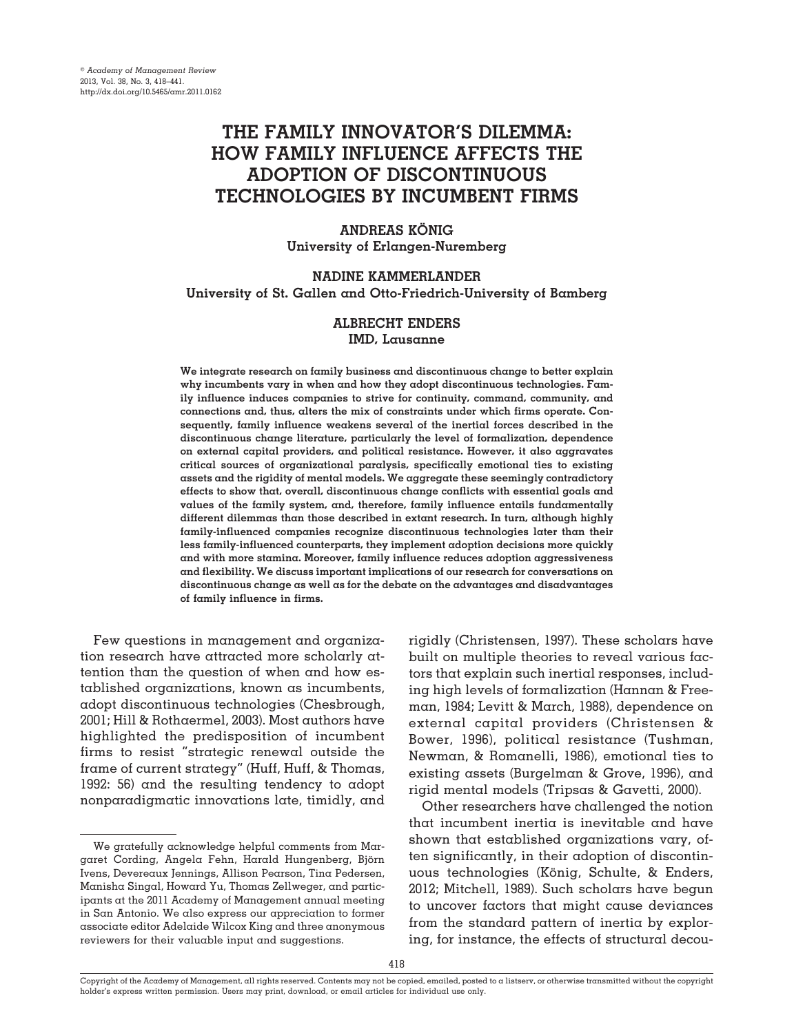# **THE FAMILY INNOVATOR'S DILEMMA: HOW FAMILY INFLUENCE AFFECTS THE ADOPTION OF DISCONTINUOUS TECHNOLOGIES BY INCUMBENT FIRMS**

# **ANDREAS KÖNIG University of Erlangen-Nuremberg**

# **NADINE KAMMERLANDER University of St. Gallen and Otto-Friedrich-University of Bamberg**

### **ALBRECHT ENDERS IMD, Lausanne**

**We integrate research on family business and discontinuous change to better explain why incumbents vary in when and how they adopt discontinuous technologies. Family influence induces companies to strive for continuity, command, community, and connections and, thus, alters the mix of constraints under which firms operate. Consequently, family influence weakens several of the inertial forces described in the discontinuous change literature, particularly the level of formalization, dependence on external capital providers, and political resistance. However, it also aggravates critical sources of organizational paralysis, specifically emotional ties to existing assets and the rigidity of mental models. We aggregate these seemingly contradictory effects to show that, overall, discontinuous change conflicts with essential goals and values of the family system, and, therefore, family influence entails fundamentally different dilemmas than those described in extant research. In turn, although highly family-influenced companies recognize discontinuous technologies later than their less family-influenced counterparts, they implement adoption decisions more quickly and with more stamina. Moreover, family influence reduces adoption aggressiveness and flexibility. We discuss important implications of our research for conversations on discontinuous change as well as for the debate on the advantages and disadvantages of family influence in firms.**

Few questions in management and organization research have attracted more scholarly attention than the question of when and how established organizations, known as incumbents, adopt discontinuous technologies (Chesbrough, 2001; Hill & Rothaermel, 2003). Most authors have highlighted the predisposition of incumbent firms to resist "strategic renewal outside the frame of current strategy" (Huff, Huff, & Thomas, 1992: 56) and the resulting tendency to adopt nonparadigmatic innovations late, timidly, and

rigidly (Christensen, 1997). These scholars have built on multiple theories to reveal various factors that explain such inertial responses, including high levels of formalization (Hannan & Freeman, 1984; Levitt & March, 1988), dependence on external capital providers (Christensen & Bower, 1996), political resistance (Tushman, Newman, & Romanelli, 1986), emotional ties to existing assets (Burgelman & Grove, 1996), and rigid mental models (Tripsas & Gavetti, 2000).

Other researchers have challenged the notion that incumbent inertia is inevitable and have shown that established organizations vary, often significantly, in their adoption of discontinuous technologies (König, Schulte, & Enders, 2012; Mitchell, 1989). Such scholars have begun to uncover factors that might cause deviances from the standard pattern of inertia by exploring, for instance, the effects of structural decou-

We gratefully acknowledge helpful comments from Margaret Cording, Angela Fehn, Harald Hungenberg, Björn Ivens, Devereaux Jennings, Allison Pearson, Tina Pedersen, Manisha Singal, Howard Yu, Thomas Zellweger, and participants at the 2011 Academy of Management annual meeting in San Antonio. We also express our appreciation to former associate editor Adelaide Wilcox King and three anonymous reviewers for their valuable input and suggestions.

Copyright of the Academy of Management, all rights reserved. Contents may not be copied, emailed, posted to a listserv, or otherwise transmitted without the copyright holder's express written permission. Users may print, download, or email articles for individual use only.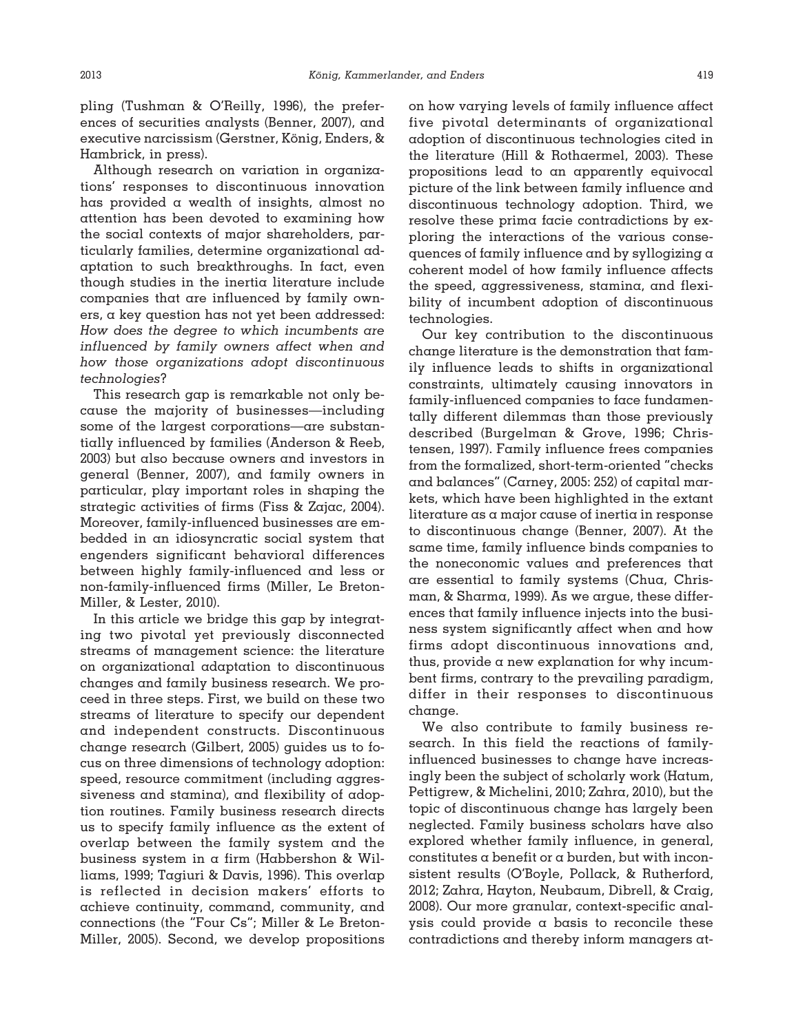pling (Tushman & O'Reilly, 1996), the preferences of securities analysts (Benner, 2007), and executive narcissism (Gerstner, König, Enders, & Hambrick, in press).

Although research on variation in organizations' responses to discontinuous innovation has provided a wealth of insights, almost no attention has been devoted to examining how the social contexts of major shareholders, particularly families, determine organizational adaptation to such breakthroughs. In fact, even though studies in the inertia literature include companies that are influenced by family owners, a key question has not yet been addressed: *How does the degree to which incumbents are influenced by family owners affect when and how those organizations adopt discontinuous technologies*?

This research gap is remarkable not only because the majority of businesses—including some of the largest corporations—are substantially influenced by families (Anderson & Reeb, 2003) but also because owners and investors in general (Benner, 2007), and family owners in particular, play important roles in shaping the strategic activities of firms (Fiss & Zajac, 2004). Moreover, family-influenced businesses are embedded in an idiosyncratic social system that engenders significant behavioral differences between highly family-influenced and less or non-family-influenced firms (Miller, Le Breton-Miller, & Lester, 2010).

In this article we bridge this gap by integrating two pivotal yet previously disconnected streams of management science: the literature on organizational adaptation to discontinuous changes and family business research. We proceed in three steps. First, we build on these two streams of literature to specify our dependent and independent constructs. Discontinuous change research (Gilbert, 2005) guides us to focus on three dimensions of technology adoption: speed, resource commitment (including aggressiveness and stamina), and flexibility of adoption routines. Family business research directs us to specify family influence as the extent of overlap between the family system and the business system in a firm (Habbershon & Williams, 1999; Tagiuri & Davis, 1996). This overlap is reflected in decision makers' efforts to achieve continuity, command, community, and connections (the "Four Cs"; Miller & Le Breton-Miller, 2005). Second, we develop propositions

on how varying levels of family influence affect five pivotal determinants of organizational adoption of discontinuous technologies cited in the literature (Hill & Rothaermel, 2003). These propositions lead to an apparently equivocal picture of the link between family influence and discontinuous technology adoption. Third, we resolve these prima facie contradictions by exploring the interactions of the various consequences of family influence and by syllogizing a coherent model of how family influence affects the speed, aggressiveness, stamina, and flexibility of incumbent adoption of discontinuous technologies.

Our key contribution to the discontinuous change literature is the demonstration that family influence leads to shifts in organizational constraints, ultimately causing innovators in family-influenced companies to face fundamentally different dilemmas than those previously described (Burgelman & Grove, 1996; Christensen, 1997). Family influence frees companies from the formalized, short-term-oriented "checks and balances" (Carney, 2005: 252) of capital markets, which have been highlighted in the extant literature as a major cause of inertia in response to discontinuous change (Benner, 2007). At the same time, family influence binds companies to the noneconomic values and preferences that are essential to family systems (Chua, Chrisman, & Sharma, 1999). As we argue, these differences that family influence injects into the business system significantly affect when and how firms adopt discontinuous innovations and, thus, provide a new explanation for why incumbent firms, contrary to the prevailing paradigm, differ in their responses to discontinuous change.

We also contribute to family business research. In this field the reactions of familyinfluenced businesses to change have increasingly been the subject of scholarly work (Hatum, Pettigrew, & Michelini, 2010; Zahra, 2010), but the topic of discontinuous change has largely been neglected. Family business scholars have also explored whether family influence, in general, constitutes  $\alpha$  benefit or  $\alpha$  burden, but with inconsistent results (O'Boyle, Pollack, & Rutherford, 2012; Zahra, Hayton, Neubaum, Dibrell, & Craig, 2008). Our more granular, context-specific analysis could provide  $\alpha$  basis to reconcile these contradictions and thereby inform managers at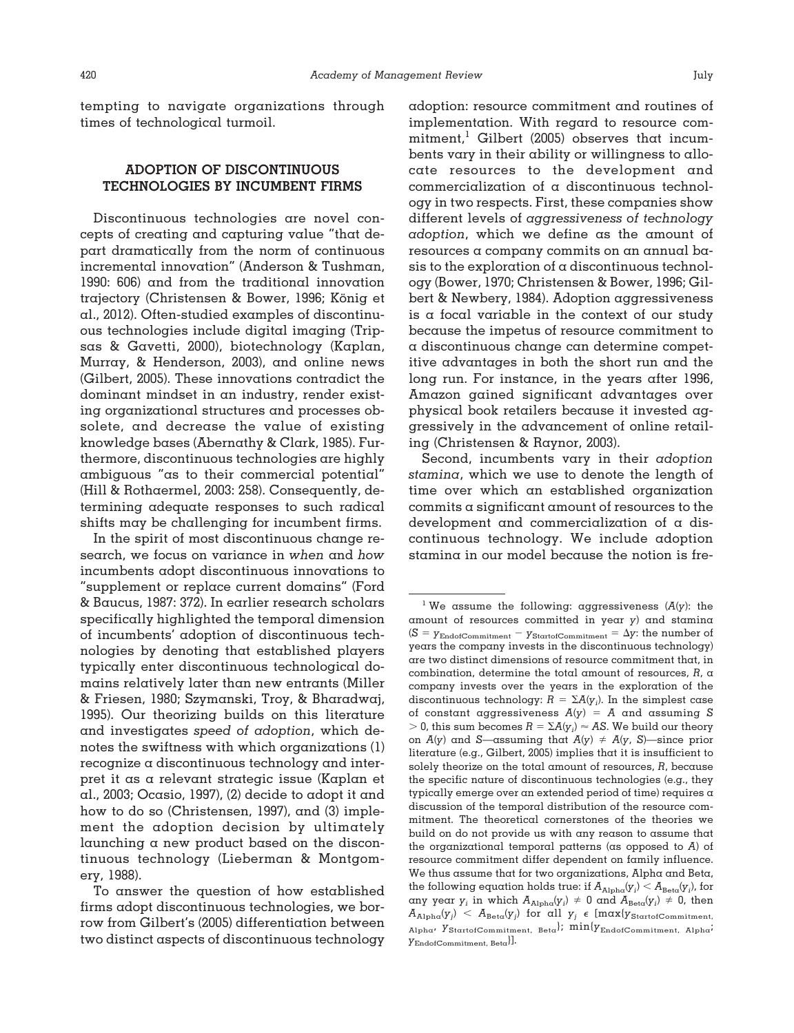tempting to navigate organizations through times of technological turmoil.

## **ADOPTION OF DISCONTINUOUS TECHNOLOGIES BY INCUMBENT FIRMS**

Discontinuous technologies are novel concepts of creating and capturing value "that depart dramatically from the norm of continuous incremental innovation" (Anderson & Tushman, 1990: 606) and from the traditional innovation trajectory (Christensen & Bower, 1996; König et al., 2012). Often-studied examples of discontinuous technologies include digital imaging (Tripsas & Gavetti, 2000), biotechnology (Kaplan, Murray, & Henderson, 2003), and online news (Gilbert, 2005). These innovations contradict the dominant mindset in an industry, render existing organizational structures and processes obsolete, and decrease the value of existing knowledge bases (Abernathy & Clark, 1985). Furthermore, discontinuous technologies are highly ambiguous "as to their commercial potential" (Hill & Rothaermel, 2003: 258). Consequently, determining adequate responses to such radical shifts may be challenging for incumbent firms.

In the spirit of most discontinuous change research, we focus on variance in *when* and *how* incumbents adopt discontinuous innovations to "supplement or replace current domains" (Ford & Baucus, 1987: 372). In earlier research scholars specifically highlighted the temporal dimension of incumbents' adoption of discontinuous technologies by denoting that established players typically enter discontinuous technological domains relatively later than new entrants (Miller & Friesen, 1980; Szymanski, Troy, & Bharadwaj, 1995). Our theorizing builds on this literature and investigates *speed of adoption*, which denotes the swiftness with which organizations (1) recognize a discontinuous technology and interpret it as a relevant strategic issue (Kaplan et al., 2003; Ocasio, 1997), (2) decide to adopt it and how to do so (Christensen, 1997), and (3) implement the adoption decision by ultimately launching a new product based on the discontinuous technology (Lieberman & Montgomery, 1988).

To answer the question of how established firms adopt discontinuous technologies, we borrow from Gilbert's (2005) differentiation between two distinct aspects of discontinuous technology

adoption: resource commitment and routines of implementation. With regard to resource com $m$ itment,<sup>1</sup> Gilbert (2005) observes that incumbents vary in their ability or willingness to allocate resources to the development and commercialization of a discontinuous technology in two respects. First, these companies show different levels of *aggressiveness of technology adoption*, which we define as the amount of resources a company commits on an annual basis to the exploration of  $\alpha$  discontinuous technology (Bower, 1970; Christensen & Bower, 1996; Gilbert & Newbery, 1984). Adoption aggressiveness is a focal variable in the context of our study because the impetus of resource commitment to a discontinuous change can determine competitive advantages in both the short run and the long run. For instance, in the years after 1996, Amazon gained significant advantages over physical book retailers because it invested aggressively in the advancement of online retailing (Christensen & Raynor, 2003).

Second, incumbents vary in their *adoption stamina*, which we use to denote the length of time over which an established organization commits a significant amount of resources to the development and commercialization of a discontinuous technology. We include adoption stamina in our model because the notion is fre-

<sup>&</sup>lt;sup>1</sup>We assume the following: aggressiveness  $(A(y))$ : the amount of resources committed in year *y*) and stamina  $(S = y_{\text{EndofCommitment}} - y_{\text{StartofCommitment}} = \Delta y$ : the number of years the company invests in the discontinuous technology) are two distinct dimensions of resource commitment that, in combination, determine the total amount of resources, *R*, a company invests over the years in the exploration of the discontinuous technology:  $R = \Sigma A(y_i)$ . In the simplest case of constant aggressiveness  $A(y) = A$  and assuming S  $>$  0, this sum becomes  $R = \Sigma A(y_i) \approx A {\rm S}.$  We build our theory on  $A(y)$  and *S*—assuming that  $A(y) \neq A(y, S)$ —since prior literature (e.g., Gilbert, 2005) implies that it is insufficient to solely theorize on the total amount of resources, *R*, because the specific nature of discontinuous technologies (e.g., they typically emerge over an extended period of time) requires a discussion of the temporal distribution of the resource commitment. The theoretical cornerstones of the theories we build on do not provide us with any reason to assume that the organizational temporal patterns (as opposed to *A*) of resource commitment differ dependent on family influence. We thus assume that for two organizations, Alpha and Beta, the following equation holds true: if  $A_{\rm Alpha}({\it y_{i}}) < A_{\rm Beta}({\it y_{i}})$ , for any year  $y_i$  in which  $A_{\text{Alpha}}(y_i) \, \neq \, 0$  and  $A_{\text{Beta}}(y_i) \, \neq \, 0$ , then  $A_{\text{Alpha}}(y_j) \ < \ A_{\text{Beta}}(y_j)$  for all  $y_j$   $\epsilon$  [max{ $y_{\text{StartofCommitment},j}$ Alpha, *y*StartofCommitment, Beta}; min{*y*EndofCommitment, Alpha; *y*EndofCommitment, Beta}].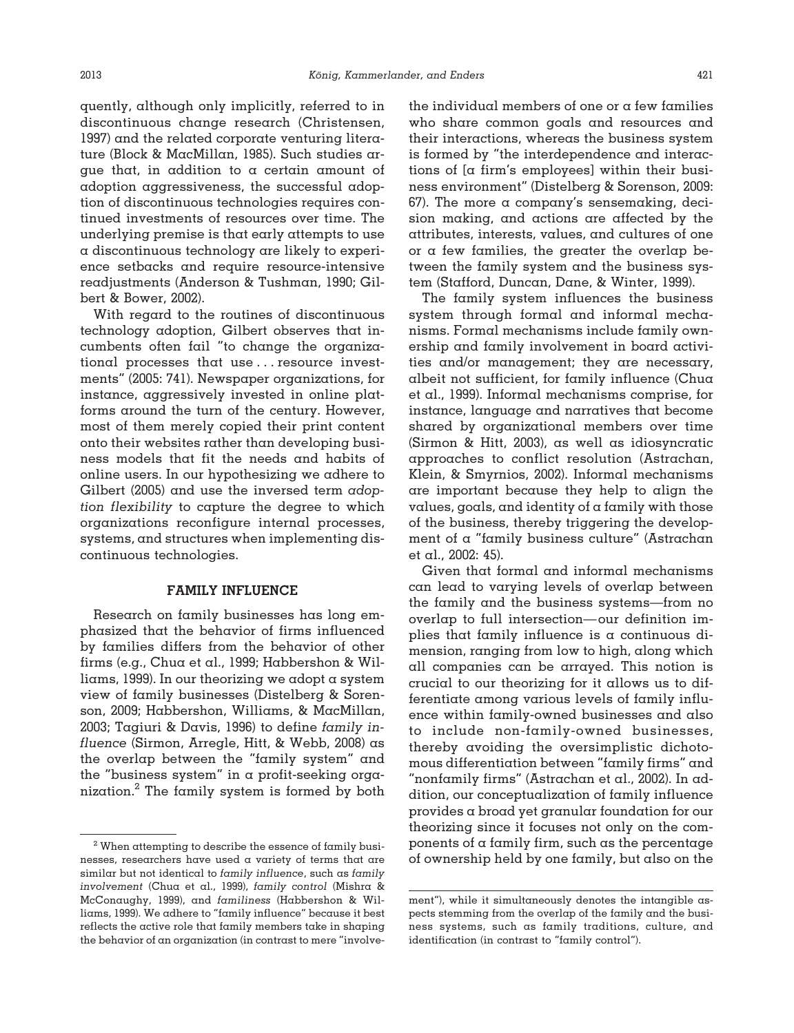quently, although only implicitly, referred to in discontinuous change research (Christensen, 1997) and the related corporate venturing literature (Block & MacMillan, 1985). Such studies argue that, in addition to a certain amount of adoption aggressiveness, the successful adoption of discontinuous technologies requires continued investments of resources over time. The underlying premise is that early attempts to use a discontinuous technology are likely to experience setbacks and require resource-intensive readjustments (Anderson & Tushman, 1990; Gilbert & Bower, 2002).

With regard to the routines of discontinuous technology adoption, Gilbert observes that incumbents often fail "to change the organizational processes that use... resource investments" (2005: 741). Newspaper organizations, for instance, aggressively invested in online platforms around the turn of the century. However, most of them merely copied their print content onto their websites rather than developing business models that fit the needs and habits of online users. In our hypothesizing we adhere to Gilbert (2005) and use the inversed term *adoption flexibility* to capture the degree to which organizations reconfigure internal processes, systems, and structures when implementing discontinuous technologies.

#### **FAMILY INFLUENCE**

Research on family businesses has long emphasized that the behavior of firms influenced by families differs from the behavior of other firms (e.g., Chua et al., 1999; Habbershon & Williams, 1999). In our theorizing we adopt a system view of family businesses (Distelberg & Sorenson, 2009; Habbershon, Williams, & MacMillan, 2003; Tagiuri & Davis, 1996) to define *family influence* (Sirmon, Arregle, Hitt, & Webb, 2008) as the overlap between the "family system" and the "business system" in a profit-seeking organization.2 The family system is formed by both the individual members of one or  $\alpha$  few families who share common goals and resources and their interactions, whereas the business system is formed by "the interdependence and interactions of [a firm's employees] within their business environment" (Distelberg & Sorenson, 2009: 67). The more  $\alpha$  company's sensemaking, decision making, and actions are affected by the attributes, interests, values, and cultures of one or  $\alpha$  few families, the greater the overlap between the family system and the business system (Stafford, Duncan, Dane, & Winter, 1999).

The family system influences the business system through formal and informal mechanisms. Formal mechanisms include family ownership and family involvement in board activities and/or management; they are necessary, albeit not sufficient, for family influence (Chua et al., 1999). Informal mechanisms comprise, for instance, language and narratives that become shared by organizational members over time (Sirmon & Hitt, 2003), as well as idiosyncratic approaches to conflict resolution (Astrachan, Klein, & Smyrnios, 2002). Informal mechanisms are important because they help to align the values, goals, and identity of a family with those of the business, thereby triggering the development of a "family business culture" (Astrachan et al., 2002: 45).

Given that formal and informal mechanisms can lead to varying levels of overlap between the family and the business systems—from no overlap to full intersection—our definition implies that family influence is a continuous dimension, ranging from low to high, along which all companies can be arrayed. This notion is crucial to our theorizing for it allows us to differentiate among various levels of family influence within family-owned businesses and also to include non-family-owned businesses, thereby avoiding the oversimplistic dichotomous differentiation between "family firms" and "nonfamily firms" (Astrachan et al., 2002). In addition, our conceptualization of family influence provides a broad yet granular foundation for our theorizing since it focuses not only on the components of  $\alpha$  family firm, such as the percentage of ownership held by one family, but also on the

 $2$  When attempting to describe the essence of family businesses, researchers have used a variety of terms that are similar but not identical to *family influence*, such as *family involvement* (Chua et al., 1999), *family control* (Mishra & McConaughy, 1999), and *familiness* (Habbershon & Williams, 1999). We adhere to "family influence" because it best reflects the active role that family members take in shaping the behavior of an organization (in contrast to mere "involve-

ment"), while it simultaneously denotes the intangible aspects stemming from the overlap of the family and the business systems, such as family traditions, culture, and identification (in contrast to "family control").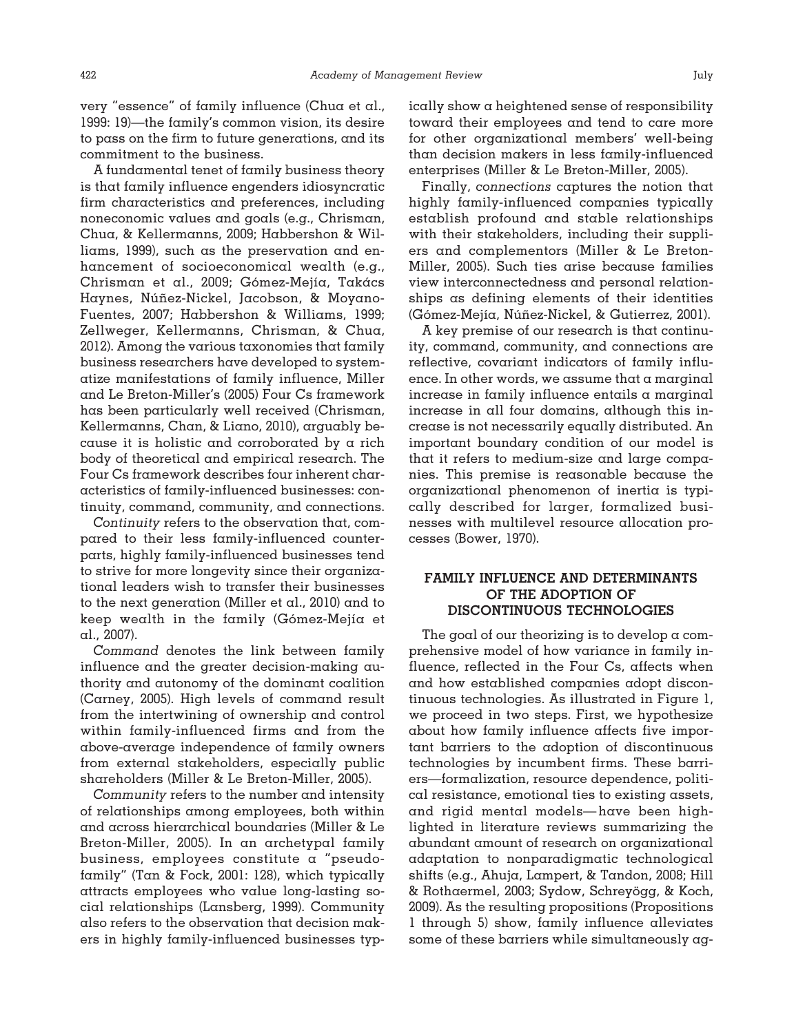very "essence" of family influence (Chua et al., 1999: 19)—the family's common vision, its desire to pass on the firm to future generations, and its commitment to the business.

A fundamental tenet of family business theory is that family influence engenders idiosyncratic firm characteristics and preferences, including noneconomic values and goals (e.g., Chrisman, Chua, & Kellermanns, 2009; Habbershon & Williams, 1999), such as the preservation and enhancement of socioeconomical wealth (e.g., Chrisman et al., 2009; Gómez-Mejía, Takács Haynes, Núñez-Nickel, Jacobson, & Moyano-Fuentes, 2007; Habbershon & Williams, 1999; Zellweger, Kellermanns, Chrisman, & Chua, 2012). Among the various taxonomies that family business researchers have developed to systematize manifestations of family influence, Miller and Le Breton-Miller's (2005) Four Cs framework has been particularly well received (Chrisman, Kellermanns, Chan, & Liano, 2010), arguably because it is holistic and corroborated by a rich body of theoretical and empirical research. The Four Cs framework describes four inherent characteristics of family-influenced businesses: continuity, command, community, and connections.

*Continuity* refers to the observation that, compared to their less family-influenced counterparts, highly family-influenced businesses tend to strive for more longevity since their organizational leaders wish to transfer their businesses to the next generation (Miller et al., 2010) and to keep wealth in the family (Gómez-Mejía et al., 2007).

*Command* denotes the link between family influence and the greater decision-making authority and autonomy of the dominant coalition (Carney, 2005). High levels of command result from the intertwining of ownership and control within family-influenced firms and from the above-average independence of family owners from external stakeholders, especially public shareholders (Miller & Le Breton-Miller, 2005).

*Community* refers to the number and intensity of relationships among employees, both within and across hierarchical boundaries (Miller & Le Breton-Miller, 2005). In an archetypal family business, employees constitute a "pseudofamily" (Tan & Fock, 2001: 128), which typically attracts employees who value long-lasting social relationships (Lansberg, 1999). Community also refers to the observation that decision makers in highly family-influenced businesses typically show a heightened sense of responsibility toward their employees and tend to care more for other organizational members' well-being than decision makers in less family-influenced enterprises (Miller & Le Breton-Miller, 2005).

Finally, *connections* captures the notion that highly family-influenced companies typically establish profound and stable relationships with their stakeholders, including their suppliers and complementors (Miller & Le Breton-Miller, 2005). Such ties arise because families view interconnectedness and personal relationships as defining elements of their identities (Gómez-Mejía, Núñez-Nickel, & Gutierrez, 2001).

A key premise of our research is that continuity, command, community, and connections are reflective, covariant indicators of family influence. In other words, we assume that a marginal increase in family influence entails a marginal increase in all four domains, although this increase is not necessarily equally distributed. An important boundary condition of our model is that it refers to medium-size and large companies. This premise is reasonable because the organizational phenomenon of inertia is typically described for larger, formalized businesses with multilevel resource allocation processes (Bower, 1970).

## **FAMILY INFLUENCE AND DETERMINANTS OF THE ADOPTION OF DISCONTINUOUS TECHNOLOGIES**

The goal of our theorizing is to develop  $\alpha$  comprehensive model of how variance in family influence, reflected in the Four Cs, affects when and how established companies adopt discontinuous technologies. As illustrated in Figure 1, we proceed in two steps. First, we hypothesize about how family influence affects five important barriers to the adoption of discontinuous technologies by incumbent firms. These barriers—formalization, resource dependence, political resistance, emotional ties to existing assets, and rigid mental models—have been highlighted in literature reviews summarizing the abundant amount of research on organizational adaptation to nonparadigmatic technological shifts (e.g., Ahuja, Lampert, & Tandon, 2008; Hill & Rothaermel, 2003; Sydow, Schreyögg, & Koch, 2009). As the resulting propositions (Propositions 1 through 5) show, family influence alleviates some of these barriers while simultaneously ag-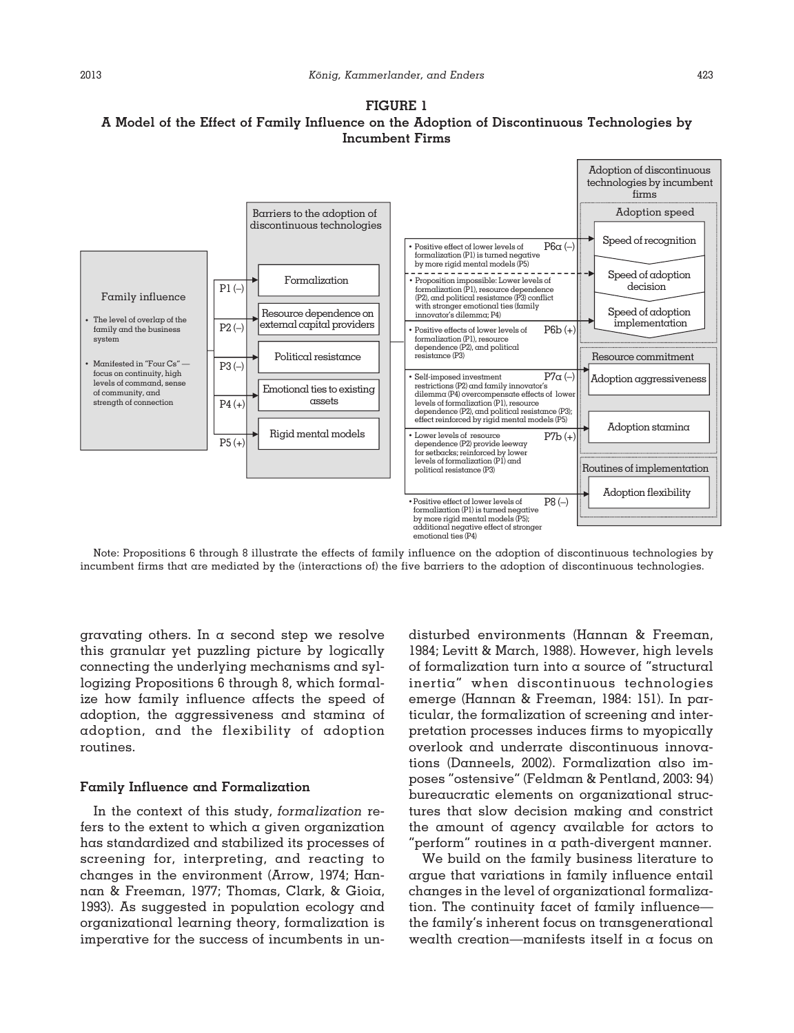

**FIGURE 1 A Model of the Effect of Family Influence on the Adoption of Discontinuous Technologies by Incumbent Firms**

Note: Propositions 6 through 8 illustrate the effects of family influence on the adoption of discontinuous technologies by incumbent firms that are mediated by the (interactions of) the five barriers to the adoption of discontinuous technologies.

gravating others. In a second step we resolve this granular yet puzzling picture by logically connecting the underlying mechanisms and syllogizing Propositions 6 through 8, which formalize how family influence affects the speed of adoption, the aggressiveness and stamina of adoption, and the flexibility of adoption routines.

#### **Family Influence and Formalization**

In the context of this study, *formalization* refers to the extent to which a given organization has standardized and stabilized its processes of screening for, interpreting, and reacting to changes in the environment (Arrow, 1974; Hannan & Freeman, 1977; Thomas, Clark, & Gioia, 1993). As suggested in population ecology and organizational learning theory, formalization is imperative for the success of incumbents in undisturbed environments (Hannan & Freeman, 1984; Levitt & March, 1988). However, high levels of formalization turn into a source of "structural inertia" when discontinuous technologies emerge (Hannan & Freeman, 1984: 151). In particular, the formalization of screening and interpretation processes induces firms to myopically overlook and underrate discontinuous innovations (Danneels, 2002). Formalization also imposes "ostensive" (Feldman & Pentland, 2003: 94) bureaucratic elements on organizational structures that slow decision making and constrict the amount of agency available for actors to "perform" routines in a path-divergent manner.

We build on the family business literature to argue that variations in family influence entail changes in the level of organizational formalization. The continuity facet of family influence the family's inherent focus on transgenerational wealth creation—manifests itself in a focus on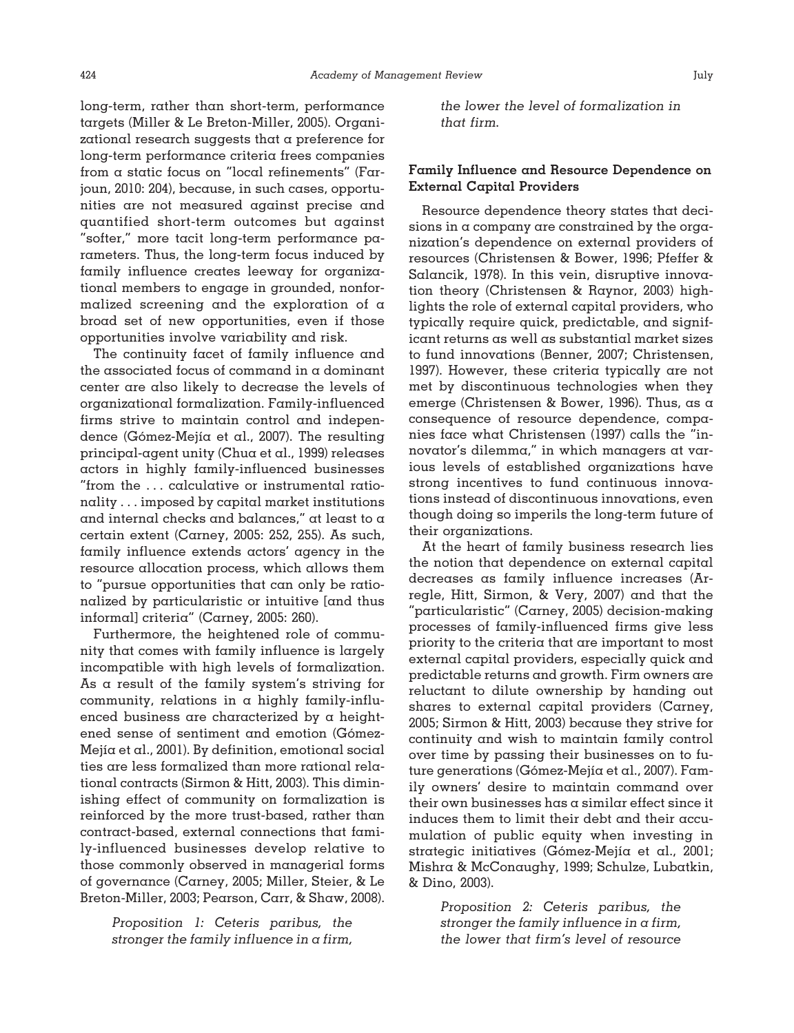long-term, rather than short-term, performance targets (Miller & Le Breton-Miller, 2005). Organizational research suggests that a preference for long-term performance criteria frees companies from a static focus on "local refinements" (Farjoun, 2010: 204), because, in such cases, opportunities are not measured against precise and quantified short-term outcomes but against "softer," more tacit long-term performance parameters. Thus, the long-term focus induced by family influence creates leeway for organizational members to engage in grounded, nonformalized screening and the exploration of a broad set of new opportunities, even if those opportunities involve variability and risk.

The continuity facet of family influence and the associated focus of command in a dominant center are also likely to decrease the levels of organizational formalization. Family-influenced firms strive to maintain control and independence (Gómez-Mejía et al., 2007). The resulting principal-agent unity (Chua et al., 1999) releases actors in highly family-influenced businesses "from the . . . calculative or instrumental rationality . . . imposed by capital market institutions and internal checks and balances," at least to a certain extent (Carney, 2005: 252, 255). As such, family influence extends actors' agency in the resource allocation process, which allows them to "pursue opportunities that can only be rationalized by particularistic or intuitive [and thus informal] criteria" (Carney, 2005: 260).

Furthermore, the heightened role of community that comes with family influence is largely incompatible with high levels of formalization. As a result of the family system's striving for community, relations in a highly family-influenced business are characterized by a heightened sense of sentiment and emotion (Gómez-Mejía et al., 2001). By definition, emotional social ties are less formalized than more rational relational contracts (Sirmon & Hitt, 2003). This diminishing effect of community on formalization is reinforced by the more trust-based, rather than contract-based, external connections that family-influenced businesses develop relative to those commonly observed in managerial forms of governance (Carney, 2005; Miller, Steier, & Le Breton-Miller, 2003; Pearson, Carr, & Shaw, 2008).

> *Proposition 1: Ceteris paribus, the stronger the family influence in a firm,*

*the lower the level of formalization in that firm.*

#### **Family Influence and Resource Dependence on External Capital Providers**

Resource dependence theory states that decisions in a company are constrained by the organization's dependence on external providers of resources (Christensen & Bower, 1996; Pfeffer & Salancik, 1978). In this vein, disruptive innovation theory (Christensen & Raynor, 2003) highlights the role of external capital providers, who typically require quick, predictable, and significant returns as well as substantial market sizes to fund innovations (Benner, 2007; Christensen, 1997). However, these criteria typically are not met by discontinuous technologies when they emerge (Christensen & Bower, 1996). Thus, as a consequence of resource dependence, companies face what Christensen (1997) calls the "innovator's dilemma," in which managers at various levels of established organizations have strong incentives to fund continuous innovations instead of discontinuous innovations, even though doing so imperils the long-term future of their organizations.

At the heart of family business research lies the notion that dependence on external capital decreases as family influence increases (Arregle, Hitt, Sirmon, & Very, 2007) and that the "particularistic" (Carney, 2005) decision-making processes of family-influenced firms give less priority to the criteria that are important to most external capital providers, especially quick and predictable returns and growth. Firm owners are reluctant to dilute ownership by handing out shares to external capital providers (Carney, 2005; Sirmon & Hitt, 2003) because they strive for continuity and wish to maintain family control over time by passing their businesses on to future generations (Gómez-Mejía et al., 2007). Family owners' desire to maintain command over their own businesses has a similar effect since it induces them to limit their debt and their accumulation of public equity when investing in strategic initiatives (Gómez-Mejía et al., 2001; Mishra & McConaughy, 1999; Schulze, Lubatkin, & Dino, 2003).

> *Proposition 2: Ceteris paribus, the stronger the family influence in a firm, the lower that firm's level of resource*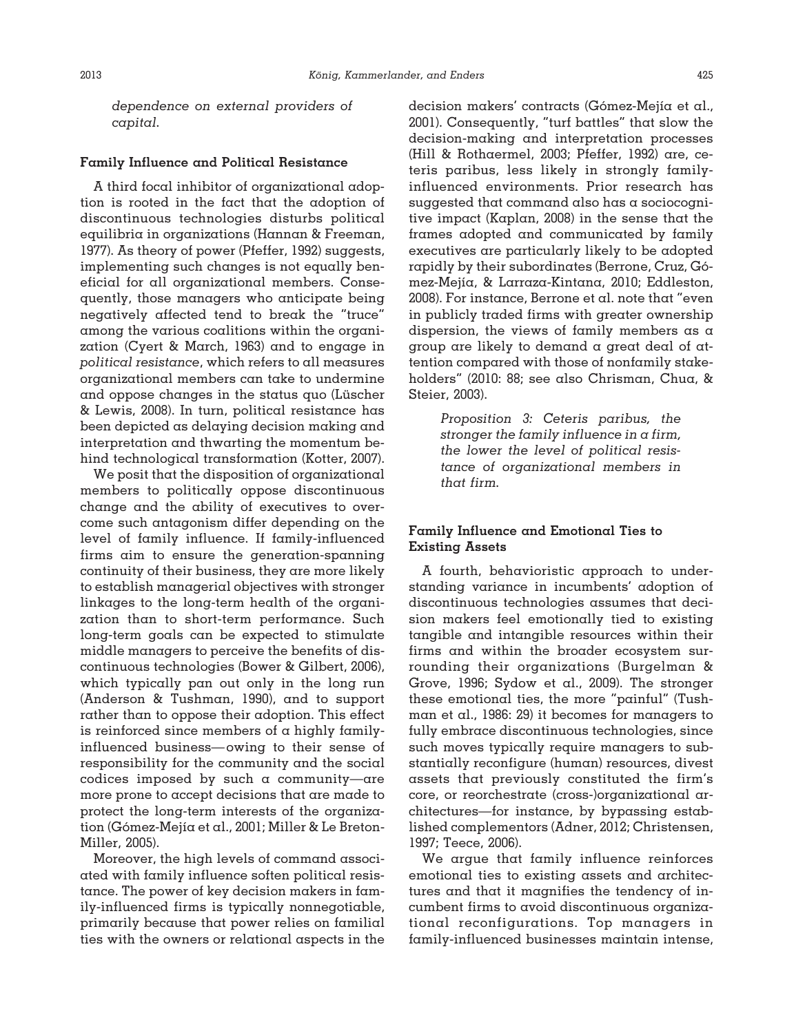*dependence on external providers of capital.*

#### **Family Influence and Political Resistance**

A third focal inhibitor of organizational adoption is rooted in the fact that the adoption of discontinuous technologies disturbs political equilibria in organizations (Hannan & Freeman, 1977). As theory of power (Pfeffer, 1992) suggests, implementing such changes is not equally beneficial for all organizational members. Consequently, those managers who anticipate being negatively affected tend to break the "truce" among the various coalitions within the organization (Cyert & March, 1963) and to engage in *political resistance*, which refers to all measures organizational members can take to undermine and oppose changes in the status quo (Lüscher & Lewis, 2008). In turn, political resistance has been depicted as delaying decision making and interpretation and thwarting the momentum behind technological transformation (Kotter, 2007).

We posit that the disposition of organizational members to politically oppose discontinuous change and the ability of executives to overcome such antagonism differ depending on the level of family influence. If family-influenced firms aim to ensure the generation-spanning continuity of their business, they are more likely to establish managerial objectives with stronger linkages to the long-term health of the organization than to short-term performance. Such long-term goals can be expected to stimulate middle managers to perceive the benefits of discontinuous technologies (Bower & Gilbert, 2006), which typically pan out only in the long run (Anderson & Tushman, 1990), and to support rather than to oppose their adoption. This effect is reinforced since members of  $\alpha$  highly familyinfluenced business—owing to their sense of responsibility for the community and the social codices imposed by such a community—are more prone to accept decisions that are made to protect the long-term interests of the organization (Gómez-Mejía et al., 2001; Miller & Le Breton-Miller, 2005).

Moreover, the high levels of command associated with family influence soften political resistance. The power of key decision makers in family-influenced firms is typically nonnegotiable, primarily because that power relies on familial ties with the owners or relational aspects in the

decision makers' contracts (Gómez-Mejía et al., 2001). Consequently, "turf battles" that slow the decision-making and interpretation processes (Hill & Rothaermel, 2003; Pfeffer, 1992) are, ceteris paribus, less likely in strongly familyinfluenced environments. Prior research has suggested that command also has a sociocognitive impact (Kaplan, 2008) in the sense that the frames adopted and communicated by family executives are particularly likely to be adopted rapidly by their subordinates (Berrone, Cruz, Gómez-Mejía, & Larraza-Kintana, 2010; Eddleston, 2008). For instance, Berrone et al. note that "even in publicly traded firms with greater ownership dispersion, the views of family members as a group are likely to demand a great deal of attention compared with those of nonfamily stakeholders" (2010: 88; see also Chrisman, Chua, & Steier, 2003).

> *Proposition 3: Ceteris paribus, the stronger the family influence in a firm, the lower the level of political resistance of organizational members in that firm.*

## **Family Influence and Emotional Ties to Existing Assets**

A fourth, behavioristic approach to understanding variance in incumbents' adoption of discontinuous technologies assumes that decision makers feel emotionally tied to existing tangible and intangible resources within their firms and within the broader ecosystem surrounding their organizations (Burgelman & Grove, 1996; Sydow et al., 2009). The stronger these emotional ties, the more "painful" (Tushman et al., 1986: 29) it becomes for managers to fully embrace discontinuous technologies, since such moves typically require managers to substantially reconfigure (human) resources, divest assets that previously constituted the firm's core, or reorchestrate (cross-)organizational architectures—for instance, by bypassing established complementors (Adner, 2012; Christensen, 1997; Teece, 2006).

We argue that family influence reinforces emotional ties to existing assets and architectures and that it magnifies the tendency of incumbent firms to avoid discontinuous organizational reconfigurations. Top managers in family-influenced businesses maintain intense,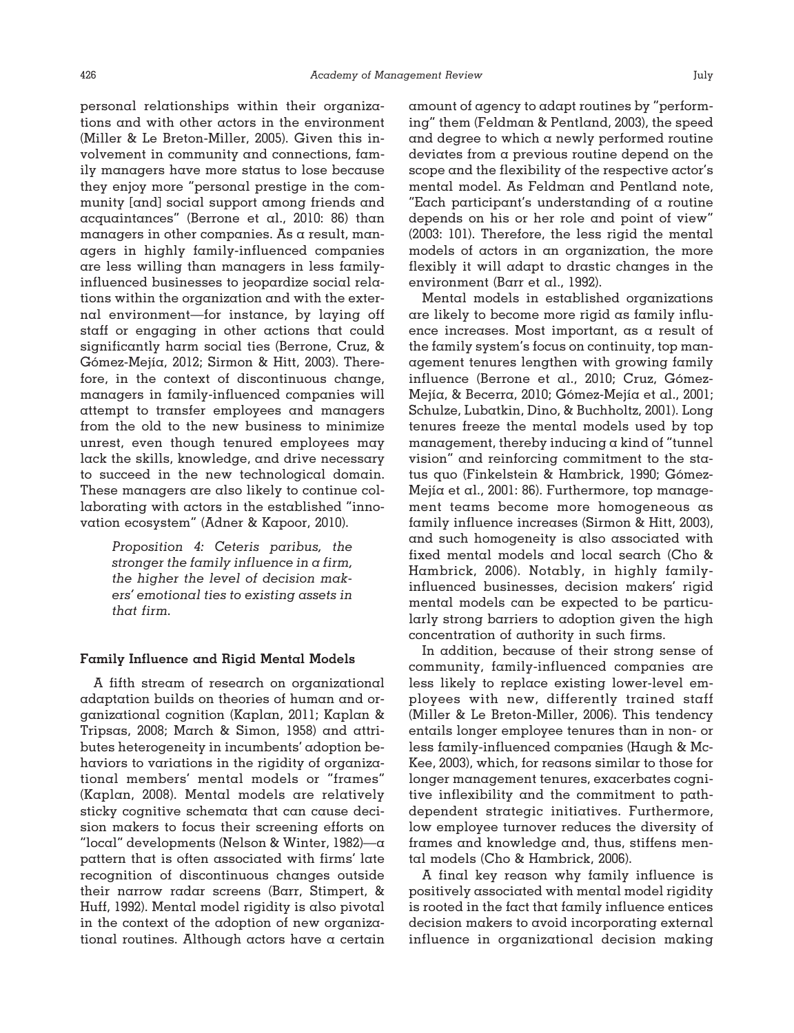personal relationships within their organizations and with other actors in the environment (Miller & Le Breton-Miller, 2005). Given this involvement in community and connections, family managers have more status to lose because they enjoy more "personal prestige in the community [and] social support among friends and acquaintances" (Berrone et al., 2010: 86) than managers in other companies. As a result, managers in highly family-influenced companies are less willing than managers in less familyinfluenced businesses to jeopardize social relations within the organization and with the external environment—for instance, by laying off staff or engaging in other actions that could significantly harm social ties (Berrone, Cruz, & Gómez-Mejía, 2012; Sirmon & Hitt, 2003). Therefore, in the context of discontinuous change, managers in family-influenced companies will attempt to transfer employees and managers from the old to the new business to minimize unrest, even though tenured employees may lack the skills, knowledge, and drive necessary to succeed in the new technological domain. These managers are also likely to continue collaborating with actors in the established "innovation ecosystem" (Adner & Kapoor, 2010).

> *Proposition 4: Ceteris paribus, the stronger the family influence in a firm, the higher the level of decision makers' emotional ties to existing assets in that firm.*

#### **Family Influence and Rigid Mental Models**

A fifth stream of research on organizational adaptation builds on theories of human and organizational cognition (Kaplan, 2011; Kaplan & Tripsas, 2008; March & Simon, 1958) and attributes heterogeneity in incumbents' adoption behaviors to variations in the rigidity of organizational members' mental models or "frames" (Kaplan, 2008). Mental models are relatively sticky cognitive schemata that can cause decision makers to focus their screening efforts on "local" developments (Nelson & Winter, 1982)— $\alpha$ pattern that is often associated with firms' late recognition of discontinuous changes outside their narrow radar screens (Barr, Stimpert, & Huff, 1992). Mental model rigidity is also pivotal in the context of the adoption of new organizational routines. Although actors have a certain

amount of agency to adapt routines by "performing" them (Feldman & Pentland, 2003), the speed and degree to which a newly performed routine deviates from a previous routine depend on the scope and the flexibility of the respective actor's mental model. As Feldman and Pentland note, "Each participant's understanding of a routine depends on his or her role and point of view" (2003: 101). Therefore, the less rigid the mental models of actors in an organization, the more flexibly it will adapt to drastic changes in the environment (Barr et al., 1992).

Mental models in established organizations are likely to become more rigid as family influence increases. Most important, as a result of the family system's focus on continuity, top management tenures lengthen with growing family influence (Berrone et al., 2010; Cruz, Gómez-Mejía, & Becerra, 2010; Gómez-Mejía et al., 2001; Schulze, Lubatkin, Dino, & Buchholtz, 2001). Long tenures freeze the mental models used by top management, thereby inducing a kind of "tunnel vision" and reinforcing commitment to the status quo (Finkelstein & Hambrick, 1990; Gómez-Mejía et al., 2001: 86). Furthermore, top management teams become more homogeneous as family influence increases (Sirmon & Hitt, 2003), and such homogeneity is also associated with fixed mental models and local search (Cho & Hambrick, 2006). Notably, in highly familyinfluenced businesses, decision makers' rigid mental models can be expected to be particularly strong barriers to adoption given the high concentration of authority in such firms.

In addition, because of their strong sense of community, family-influenced companies are less likely to replace existing lower-level employees with new, differently trained staff (Miller & Le Breton-Miller, 2006). This tendency entails longer employee tenures than in non- or less family-influenced companies (Haugh & Mc-Kee, 2003), which, for reasons similar to those for longer management tenures, exacerbates cognitive inflexibility and the commitment to pathdependent strategic initiatives. Furthermore, low employee turnover reduces the diversity of frames and knowledge and, thus, stiffens mental models (Cho & Hambrick, 2006).

A final key reason why family influence is positively associated with mental model rigidity is rooted in the fact that family influence entices decision makers to avoid incorporating external influence in organizational decision making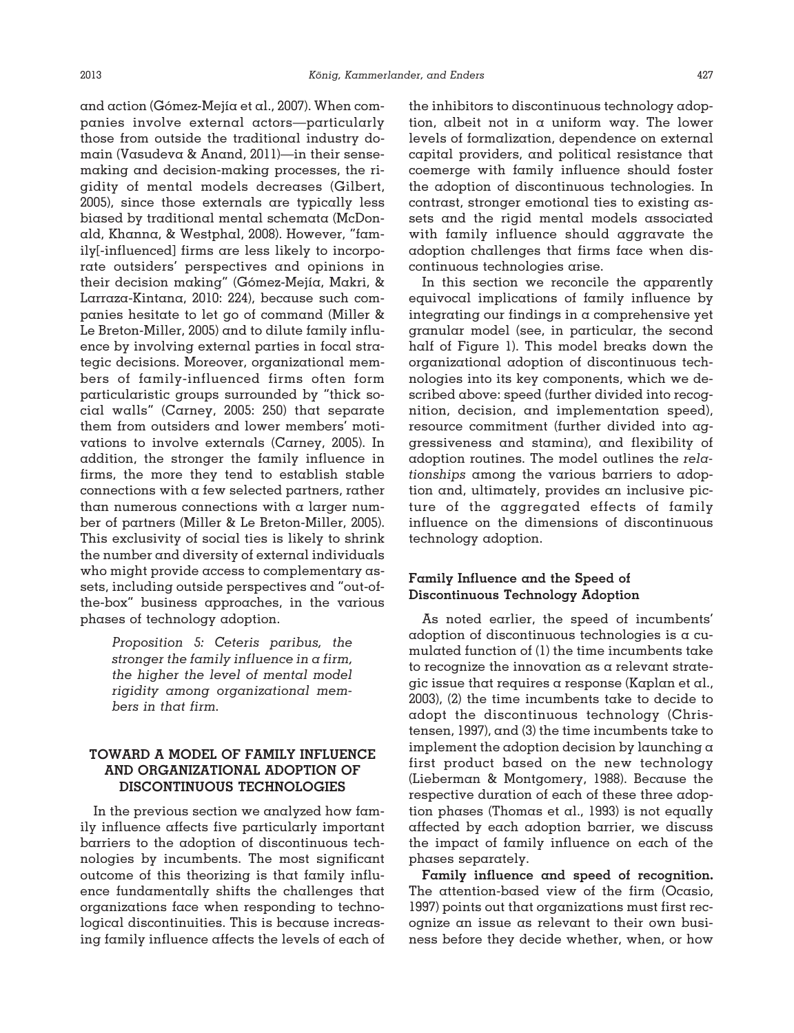and action (Gómez-Mejía et al., 2007). When companies involve external actors—particularly those from outside the traditional industry domain (Vasudeva & Anand, 2011)—in their sensemaking and decision-making processes, the rigidity of mental models decreases (Gilbert, 2005), since those externals are typically less biased by traditional mental schemata (McDonald, Khanna, & Westphal, 2008). However, "family[-influenced] firms are less likely to incorporate outsiders' perspectives and opinions in their decision making" (Gómez-Mejía, Makri, & Larraza-Kintana, 2010: 224), because such companies hesitate to let go of command (Miller & Le Breton-Miller, 2005) and to dilute family influence by involving external parties in focal strategic decisions. Moreover, organizational members of family-influenced firms often form particularistic groups surrounded by "thick social walls" (Carney, 2005: 250) that separate them from outsiders and lower members' motivations to involve externals (Carney, 2005). In addition, the stronger the family influence in firms, the more they tend to establish stable connections with a few selected partners, rather than numerous connections with  $\alpha$  larger number of partners (Miller & Le Breton-Miller, 2005). This exclusivity of social ties is likely to shrink the number and diversity of external individuals who might provide access to complementary assets, including outside perspectives and "out-ofthe-box" business approaches, in the various phases of technology adoption.

> *Proposition 5: Ceteris paribus, the stronger the family influence in a firm, the higher the level of mental model rigidity among organizational members in that firm.*

## **TOWARD A MODEL OF FAMILY INFLUENCE AND ORGANIZATIONAL ADOPTION OF DISCONTINUOUS TECHNOLOGIES**

In the previous section we analyzed how family influence affects five particularly important barriers to the adoption of discontinuous technologies by incumbents. The most significant outcome of this theorizing is that family influence fundamentally shifts the challenges that organizations face when responding to technological discontinuities. This is because increasing family influence affects the levels of each of

the inhibitors to discontinuous technology adoption, albeit not in a uniform way. The lower levels of formalization, dependence on external capital providers, and political resistance that coemerge with family influence should foster the adoption of discontinuous technologies. In contrast, stronger emotional ties to existing assets and the rigid mental models associated with family influence should aggravate the adoption challenges that firms face when discontinuous technologies arise.

In this section we reconcile the apparently equivocal implications of family influence by integrating our findings in a comprehensive yet granular model (see, in particular, the second half of Figure 1). This model breaks down the organizational adoption of discontinuous technologies into its key components, which we described above: speed (further divided into recognition, decision, and implementation speed), resource commitment (further divided into aggressiveness and stamina), and flexibility of adoption routines. The model outlines the *relationships* among the various barriers to adoption and, ultimately, provides an inclusive picture of the aggregated effects of family influence on the dimensions of discontinuous technology adoption.

# **Family Influence and the Speed of Discontinuous Technology Adoption**

As noted earlier, the speed of incumbents' adoption of discontinuous technologies is a cumulated function of  $(1)$  the time incumbents take to recognize the innovation as a relevant strategic issue that requires a response (Kaplan et al., 2003), (2) the time incumbents take to decide to adopt the discontinuous technology (Christensen, 1997), and (3) the time incumbents take to implement the adoption decision by launching  $\alpha$ first product based on the new technology (Lieberman & Montgomery, 1988). Because the respective duration of each of these three adoption phases (Thomas et al., 1993) is not equally affected by each adoption barrier, we discuss the impact of family influence on each of the phases separately.

**Family influence and speed of recognition.** The attention-based view of the firm (Ocasio, 1997) points out that organizations must first recognize an issue as relevant to their own business before they decide whether, when, or how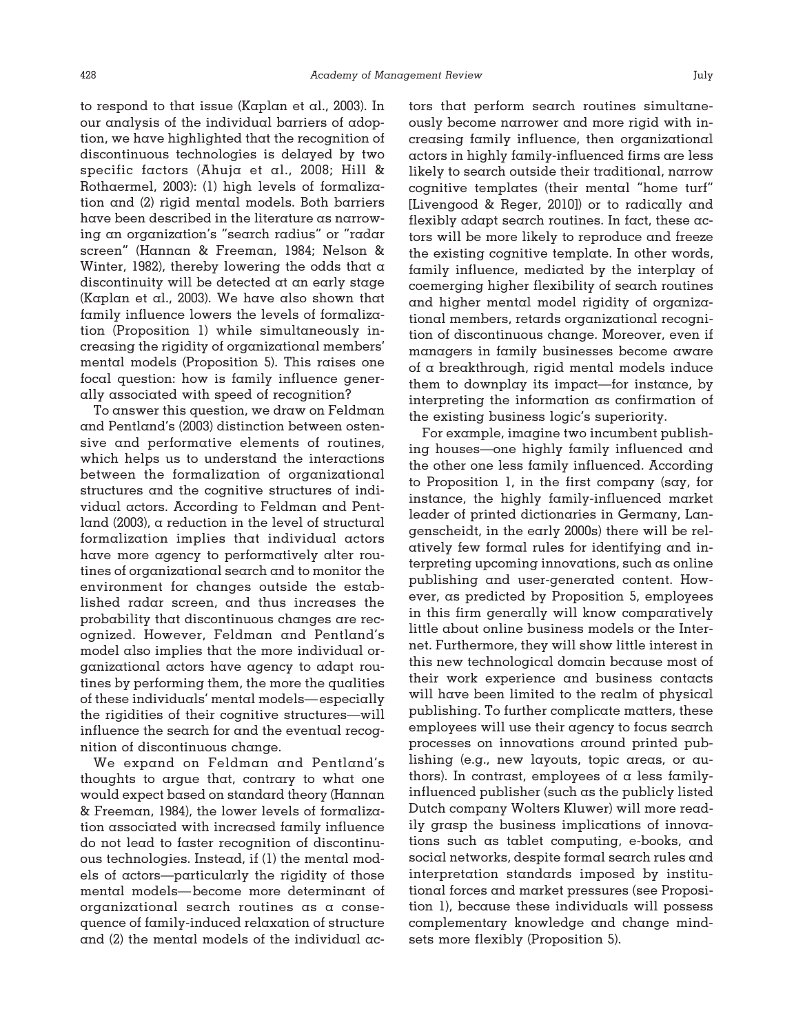to respond to that issue (Kaplan et al., 2003). In our analysis of the individual barriers of adoption, we have highlighted that the recognition of discontinuous technologies is delayed by two specific factors (Ahuja et al., 2008; Hill & Rothaermel, 2003): (1) high levels of formalization and (2) rigid mental models. Both barriers have been described in the literature as narrowing an organization's "search radius" or "radar screen" (Hannan & Freeman, 1984; Nelson & Winter, 1982), thereby lowering the odds that  $\alpha$ discontinuity will be detected at an early stage (Kaplan et al., 2003). We have also shown that family influence lowers the levels of formalization (Proposition 1) while simultaneously increasing the rigidity of organizational members' mental models (Proposition 5). This raises one focal question: how is family influence generally associated with speed of recognition?

To answer this question, we draw on Feldman and Pentland's (2003) distinction between ostensive and performative elements of routines, which helps us to understand the interactions between the formalization of organizational structures and the cognitive structures of individual actors. According to Feldman and Pentland (2003), a reduction in the level of structural formalization implies that individual actors have more agency to performatively alter routines of organizational search and to monitor the environment for changes outside the established radar screen, and thus increases the probability that discontinuous changes are recognized. However, Feldman and Pentland's model also implies that the more individual organizational actors have agency to adapt routines by performing them, the more the qualities of these individuals' mental models—especially the rigidities of their cognitive structures—will influence the search for and the eventual recognition of discontinuous change.

We expand on Feldman and Pentland's thoughts to argue that, contrary to what one would expect based on standard theory (Hannan & Freeman, 1984), the lower levels of formalization associated with increased family influence do not lead to faster recognition of discontinuous technologies. Instead, if (1) the mental models of actors—particularly the rigidity of those mental models—become more determinant of organizational search routines as a consequence of family-induced relaxation of structure and (2) the mental models of the individual actors that perform search routines simultaneously become narrower and more rigid with increasing family influence, then organizational actors in highly family-influenced firms are less likely to search outside their traditional, narrow cognitive templates (their mental "home turf" [Livengood & Reger, 2010]) or to radically and flexibly adapt search routines. In fact, these actors will be more likely to reproduce and freeze the existing cognitive template. In other words, family influence, mediated by the interplay of coemerging higher flexibility of search routines and higher mental model rigidity of organizational members, retards organizational recognition of discontinuous change. Moreover, even if managers in family businesses become aware of a breakthrough, rigid mental models induce them to downplay its impact—for instance, by interpreting the information as confirmation of the existing business logic's superiority.

For example, imagine two incumbent publishing houses*—*one highly family influenced and the other one less family influenced. According to Proposition 1, in the first company (say, for instance, the highly family-influenced market leader of printed dictionaries in Germany, Langenscheidt, in the early 2000s) there will be relatively few formal rules for identifying and interpreting upcoming innovations, such as online publishing and user-generated content. However, as predicted by Proposition 5, employees in this firm generally will know comparatively little about online business models or the Internet. Furthermore, they will show little interest in this new technological domain because most of their work experience and business contacts will have been limited to the realm of physical publishing. To further complicate matters, these employees will use their agency to focus search processes on innovations around printed publishing (e.g., new layouts, topic areas, or authors). In contrast, employees of  $\alpha$  less familyinfluenced publisher (such as the publicly listed Dutch company Wolters Kluwer) will more readily grasp the business implications of innovations such as tablet computing, e-books, and social networks, despite formal search rules and interpretation standards imposed by institutional forces and market pressures (see Proposition 1), because these individuals will possess complementary knowledge and change mindsets more flexibly (Proposition 5).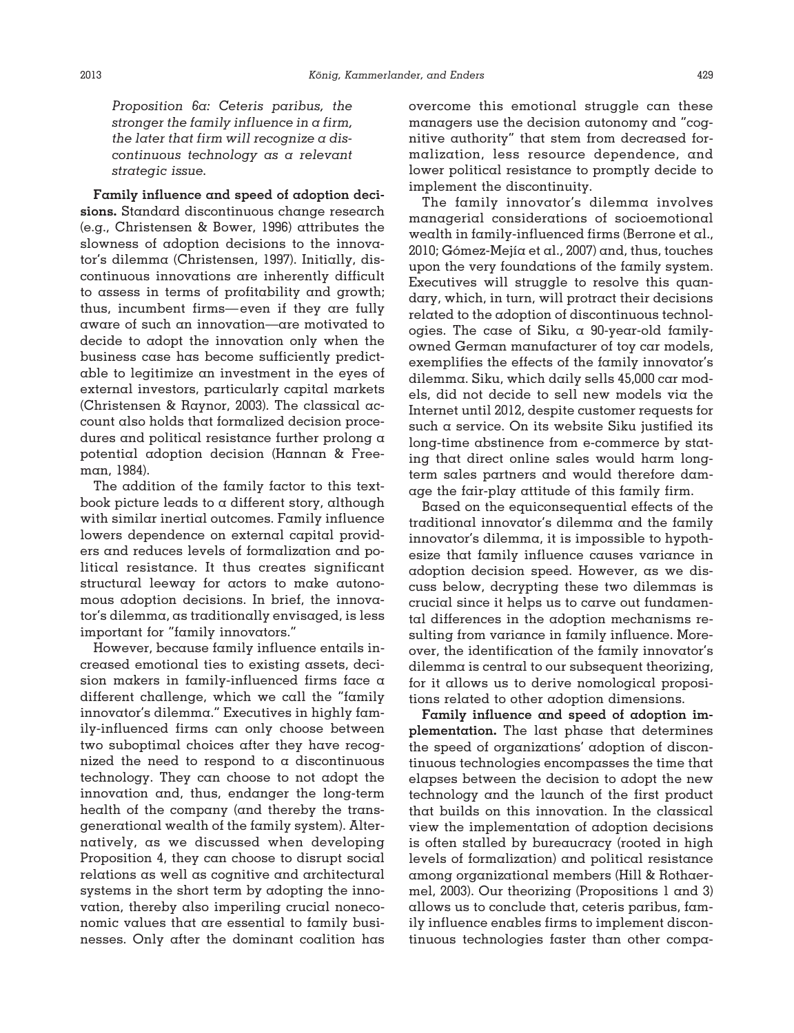*Proposition 6a: Ceteris paribus, the stronger the family influence in a firm, the later that firm will recognize a discontinuous technology as a relevant strategic issue.*

**Family influence and speed of adoption decisions.** Standard discontinuous change research (e.g., Christensen & Bower, 1996) attributes the slowness of adoption decisions to the innovator's dilemma (Christensen, 1997). Initially, discontinuous innovations are inherently difficult to assess in terms of profitability and growth; thus, incumbent firms—even if they are fully aware of such an innovation—are motivated to decide to adopt the innovation only when the business case has become sufficiently predictable to legitimize an investment in the eyes of external investors, particularly capital markets (Christensen & Raynor, 2003). The classical account also holds that formalized decision procedures and political resistance further prolong a potential adoption decision (Hannan & Freeman, 1984).

The addition of the family factor to this textbook picture leads to a different story, although with similar inertial outcomes. Family influence lowers dependence on external capital providers and reduces levels of formalization and political resistance. It thus creates significant structural leeway for actors to make autonomous adoption decisions. In brief, the innovator's dilemma, as traditionally envisaged, is less important for "family innovators."

However, because family influence entails increased emotional ties to existing assets, decision makers in family-influenced firms face a different challenge, which we call the "family innovator's dilemma." Executives in highly family-influenced firms can only choose between two suboptimal choices after they have recognized the need to respond to  $\alpha$  discontinuous technology. They can choose to not adopt the innovation and, thus, endanger the long-term health of the company (and thereby the transgenerational wealth of the family system). Alternatively, as we discussed when developing Proposition 4, they can choose to disrupt social relations as well as cognitive and architectural systems in the short term by adopting the innovation, thereby also imperiling crucial noneconomic values that are essential to family businesses. Only after the dominant coalition has

overcome this emotional struggle can these managers use the decision autonomy and "cognitive authority" that stem from decreased formalization, less resource dependence, and lower political resistance to promptly decide to implement the discontinuity.

The family innovator's dilemma involves managerial considerations of socioemotional wealth in family-influenced firms (Berrone et al., 2010; Gómez-Mejía et al., 2007) and, thus, touches upon the very foundations of the family system. Executives will struggle to resolve this quandary, which, in turn, will protract their decisions related to the adoption of discontinuous technologies. The case of Siku, a 90-year-old familyowned German manufacturer of toy car models, exemplifies the effects of the family innovator's dilemma. Siku, which daily sells 45,000 car models, did not decide to sell new models via the Internet until 2012, despite customer requests for such a service. On its website Siku justified its long-time abstinence from e-commerce by stating that direct online sales would harm longterm sales partners and would therefore damage the fair-play attitude of this family firm.

Based on the equiconsequential effects of the traditional innovator's dilemma and the family innovator's dilemma, it is impossible to hypothesize that family influence causes variance in adoption decision speed. However, as we discuss below, decrypting these two dilemmas is crucial since it helps us to carve out fundamental differences in the adoption mechanisms resulting from variance in family influence. Moreover, the identification of the family innovator's dilemma is central to our subsequent theorizing, for it allows us to derive nomological propositions related to other adoption dimensions.

**Family influence and speed of adoption implementation.** The last phase that determines the speed of organizations' adoption of discontinuous technologies encompasses the time that elapses between the decision to adopt the new technology and the launch of the first product that builds on this innovation. In the classical view the implementation of adoption decisions is often stalled by bureaucracy (rooted in high levels of formalization) and political resistance among organizational members (Hill & Rothaermel, 2003). Our theorizing (Propositions 1 and 3) allows us to conclude that, ceteris paribus, family influence enables firms to implement discontinuous technologies faster than other compa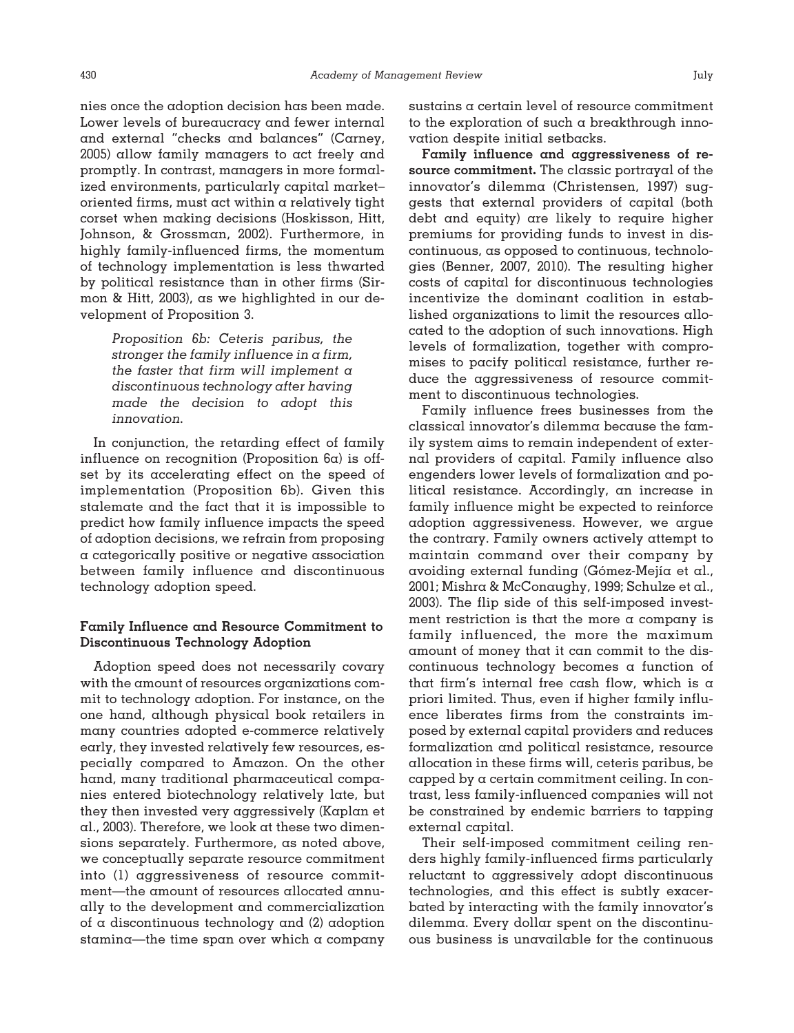nies once the adoption decision has been made. Lower levels of bureaucracy and fewer internal and external "checks and balances" (Carney, 2005) allow family managers to act freely and promptly. In contrast, managers in more formalized environments, particularly capital market– oriented firms, must act within a relatively tight corset when making decisions (Hoskisson, Hitt, Johnson, & Grossman, 2002). Furthermore, in highly family-influenced firms, the momentum of technology implementation is less thwarted by political resistance than in other firms (Sirmon & Hitt, 2003), as we highlighted in our development of Proposition 3.

> *Proposition 6b: Ceteris paribus, the stronger the family influence in a firm, the faster that firm will implement a discontinuous technology after having made the decision to adopt this innovation.*

In conjunction, the retarding effect of family influence on recognition (Proposition  $6a$ ) is offset by its accelerating effect on the speed of implementation (Proposition 6b). Given this stalemate and the fact that it is impossible to predict how family influence impacts the speed of adoption decisions, we refrain from proposing a categorically positive or negative association between family influence and discontinuous technology adoption speed.

## **Family Influence and Resource Commitment to Discontinuous Technology Adoption**

Adoption speed does not necessarily covary with the amount of resources organizations commit to technology adoption. For instance, on the one hand, although physical book retailers in many countries adopted e-commerce relatively early, they invested relatively few resources, especially compared to Amazon. On the other hand, many traditional pharmaceutical companies entered biotechnology relatively late, but they then invested very aggressively (Kaplan et al., 2003). Therefore, we look at these two dimensions separately. Furthermore, as noted above, we conceptually separate resource commitment into (1) aggressiveness of resource commitment—the amount of resources allocated annually to the development and commercialization of a discontinuous technology and (2) adoption stamina—the time span over which a company

sustains a certain level of resource commitment to the exploration of such a breakthrough innovation despite initial setbacks.

**Family influence and aggressiveness of resource commitment.** The classic portrayal of the innovator's dilemma (Christensen, 1997) suggests that external providers of capital (both debt and equity) are likely to require higher premiums for providing funds to invest in discontinuous, as opposed to continuous, technologies (Benner, 2007, 2010). The resulting higher costs of capital for discontinuous technologies incentivize the dominant coalition in established organizations to limit the resources allocated to the adoption of such innovations. High levels of formalization, together with compromises to pacify political resistance, further reduce the aggressiveness of resource commitment to discontinuous technologies.

Family influence frees businesses from the classical innovator's dilemma because the family system aims to remain independent of external providers of capital. Family influence also engenders lower levels of formalization and political resistance. Accordingly, an increase in family influence might be expected to reinforce adoption aggressiveness. However, we argue the contrary. Family owners actively attempt to maintain command over their company by avoiding external funding (Gómez-Mejía et al., 2001; Mishra & McConaughy, 1999; Schulze et al., 2003). The flip side of this self-imposed investment restriction is that the more  $\alpha$  company is family influenced, the more the maximum amount of money that it can commit to the discontinuous technology becomes a function of that firm's internal free cash flow, which is a priori limited. Thus, even if higher family influence liberates firms from the constraints imposed by external capital providers and reduces formalization and political resistance, resource allocation in these firms will, ceteris paribus, be capped by a certain commitment ceiling. In contrast, less family-influenced companies will not be constrained by endemic barriers to tapping external capital.

Their self-imposed commitment ceiling renders highly family-influenced firms particularly reluctant to aggressively adopt discontinuous technologies, and this effect is subtly exacerbated by interacting with the family innovator's dilemma. Every dollar spent on the discontinuous business is unavailable for the continuous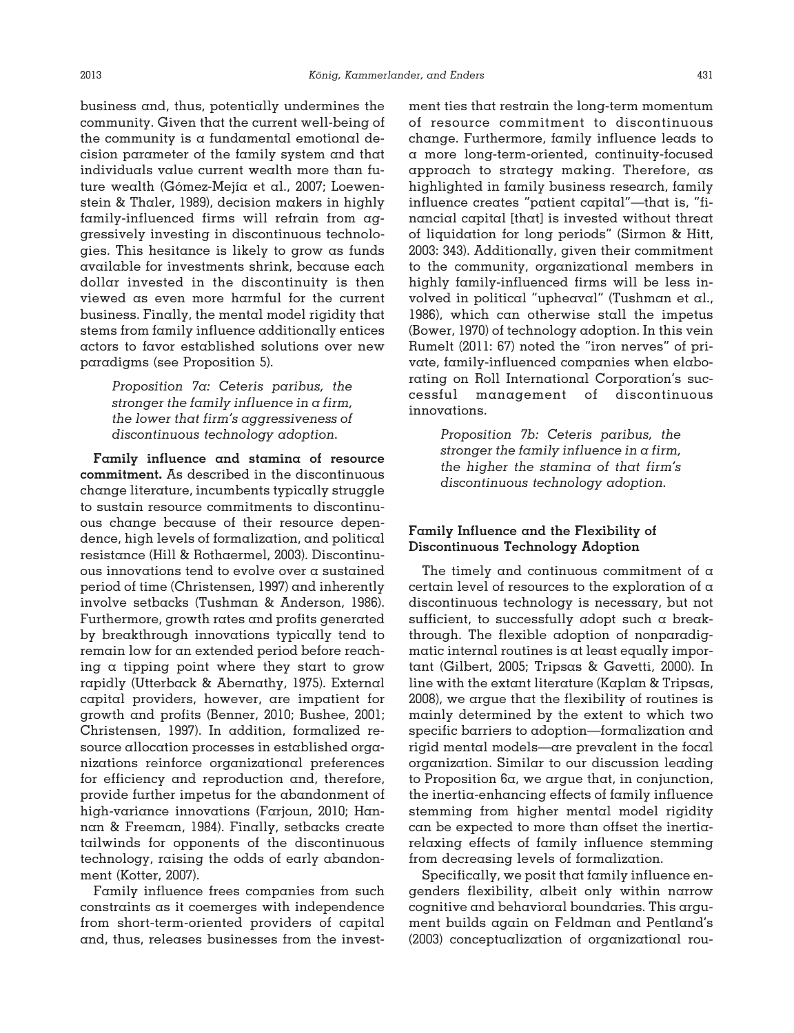business and, thus, potentially undermines the community. Given that the current well-being of the community is a fundamental emotional decision parameter of the family system and that individuals value current wealth more than future wealth (Gómez-Mejía et al., 2007; Loewenstein & Thaler, 1989), decision makers in highly family-influenced firms will refrain from aggressively investing in discontinuous technologies. This hesitance is likely to grow as funds available for investments shrink, because each dollar invested in the discontinuity is then viewed as even more harmful for the current business. Finally, the mental model rigidity that stems from family influence additionally entices actors to favor established solutions over new paradigms (see Proposition 5).

> *Proposition 7a: Ceteris paribus, the stronger the family influence in a firm, the lower that firm's aggressiveness of discontinuous technology adoption.*

**Family influence and stamina of resource commitment.** As described in the discontinuous change literature, incumbents typically struggle to sustain resource commitments to discontinuous change because of their resource dependence, high levels of formalization, and political resistance (Hill & Rothaermel, 2003). Discontinuous innovations tend to evolve over a sustained period of time (Christensen, 1997) and inherently involve setbacks (Tushman & Anderson, 1986). Furthermore, growth rates and profits generated by breakthrough innovations typically tend to remain low for an extended period before reaching a tipping point where they start to grow rapidly (Utterback & Abernathy, 1975). External capital providers, however, are impatient for growth and profits (Benner, 2010; Bushee, 2001; Christensen, 1997). In addition, formalized resource allocation processes in established organizations reinforce organizational preferences for efficiency and reproduction and, therefore, provide further impetus for the abandonment of high-variance innovations (Farjoun, 2010; Hannan & Freeman, 1984). Finally, setbacks create tailwinds for opponents of the discontinuous technology, raising the odds of early abandonment (Kotter, 2007).

Family influence frees companies from such constraints as it coemerges with independence from short-term-oriented providers of capital and, thus, releases businesses from the investment ties that restrain the long-term momentum of resource commitment to discontinuous change. Furthermore, family influence leads to a more long-term-oriented, continuity-focused approach to strategy making. Therefore, as highlighted in family business research, family influence creates "patient capital"—that is, "financial capital [that] is invested without threat of liquidation for long periods" (Sirmon & Hitt, 2003: 343). Additionally, given their commitment to the community, organizational members in highly family-influenced firms will be less involved in political "upheaval" (Tushman et al., 1986), which can otherwise stall the impetus (Bower, 1970) of technology adoption. In this vein Rumelt (2011: 67) noted the "iron nerves" of private, family-influenced companies when elaborating on Roll International Corporation's successful management of discontinuous innovations.

> *Proposition 7b: Ceteris paribus, the stronger the family influence in a firm, the higher the stamina of that firm's discontinuous technology adoption.*

## **Family Influence and the Flexibility of Discontinuous Technology Adoption**

The timely and continuous commitment of a certain level of resources to the exploration of a discontinuous technology is necessary, but not sufficient, to successfully adopt such a breakthrough. The flexible adoption of nonparadigmatic internal routines is at least equally important (Gilbert, 2005; Tripsas & Gavetti, 2000). In line with the extant literature (Kaplan & Tripsas, 2008), we argue that the flexibility of routines is mainly determined by the extent to which two specific barriers to adoption—formalization and rigid mental models—are prevalent in the focal organization. Similar to our discussion leading to Proposition 6a, we argue that, in conjunction, the inertia-enhancing effects of family influence stemming from higher mental model rigidity can be expected to more than offset the inertiarelaxing effects of family influence stemming from decreasing levels of formalization.

Specifically, we posit that family influence engenders flexibility, albeit only within narrow cognitive and behavioral boundaries. This argument builds again on Feldman and Pentland's (2003) conceptualization of organizational rou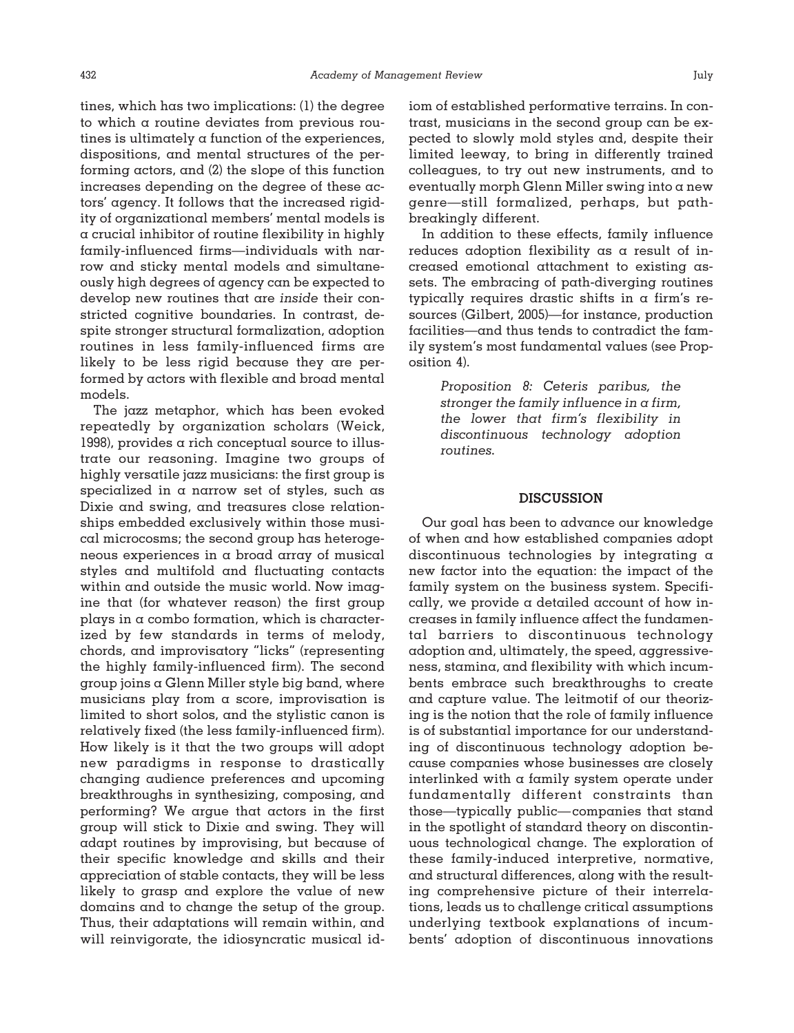tines, which has two implications: (1) the degree to which a routine deviates from previous routines is ultimately a function of the experiences, dispositions, and mental structures of the performing actors, and (2) the slope of this function increases depending on the degree of these actors' agency. It follows that the increased rigidity of organizational members' mental models is a crucial inhibitor of routine flexibility in highly family-influenced firms—individuals with narrow and sticky mental models and simultaneously high degrees of agency can be expected to develop new routines that are *inside* their constricted cognitive boundaries. In contrast, despite stronger structural formalization, adoption routines in less family-influenced firms are likely to be less rigid because they are performed by actors with flexible and broad mental models.

The jazz metaphor, which has been evoked repeatedly by organization scholars (Weick, 1998), provides a rich conceptual source to illustrate our reasoning. Imagine two groups of highly versatile jazz musicians: the first group is specialized in a narrow set of styles, such as Dixie and swing, and treasures close relationships embedded exclusively within those musical microcosms; the second group has heterogeneous experiences in a broad array of musical styles and multifold and fluctuating contacts within and outside the music world. Now imagine that (for whatever reason) the first group plays in a combo formation, which is characterized by few standards in terms of melody, chords, and improvisatory "licks" (representing the highly family-influenced firm). The second group joins a Glenn Miller style big band, where musicians play from a score, improvisation is limited to short solos, and the stylistic canon is relatively fixed (the less family-influenced firm). How likely is it that the two groups will adopt new paradigms in response to drastically changing audience preferences and upcoming breakthroughs in synthesizing, composing, and performing? We argue that actors in the first group will stick to Dixie and swing. They will adapt routines by improvising, but because of their specific knowledge and skills and their appreciation of stable contacts, they will be less likely to grasp and explore the value of new domains and to change the setup of the group. Thus, their adaptations will remain within, and will reinvigorate, the idiosyncratic musical idiom of established performative terrains. In contrast, musicians in the second group can be expected to slowly mold styles and, despite their limited leeway, to bring in differently trained colleagues, to try out new instruments, and to eventually morph Glenn Miller swing into a new genre—still formalized, perhaps, but pathbreakingly different.

In addition to these effects, family influence reduces adoption flexibility as a result of increased emotional attachment to existing assets. The embracing of path-diverging routines typically requires drastic shifts in a firm's resources (Gilbert, 2005)—for instance, production facilities—and thus tends to contradict the family system's most fundamental values (see Proposition 4).

> *Proposition 8: Ceteris paribus, the stronger the family influence in a firm, the lower that firm's flexibility in discontinuous technology adoption routines.*

#### **DISCUSSION**

Our goal has been to advance our knowledge of when and how established companies adopt discontinuous technologies by integrating a new factor into the equation: the impact of the family system on the business system. Specifically, we provide a detailed account of how increases in family influence affect the fundamental barriers to discontinuous technology adoption and, ultimately, the speed, aggressiveness, stamina, and flexibility with which incumbents embrace such breakthroughs to create and capture value. The leitmotif of our theorizing is the notion that the role of family influence is of substantial importance for our understanding of discontinuous technology adoption because companies whose businesses are closely interlinked with a family system operate under fundamentally different constraints than those—typically public—companies that stand in the spotlight of standard theory on discontinuous technological change. The exploration of these family-induced interpretive, normative, and structural differences, along with the resulting comprehensive picture of their interrelations, leads us to challenge critical assumptions underlying textbook explanations of incumbents' adoption of discontinuous innovations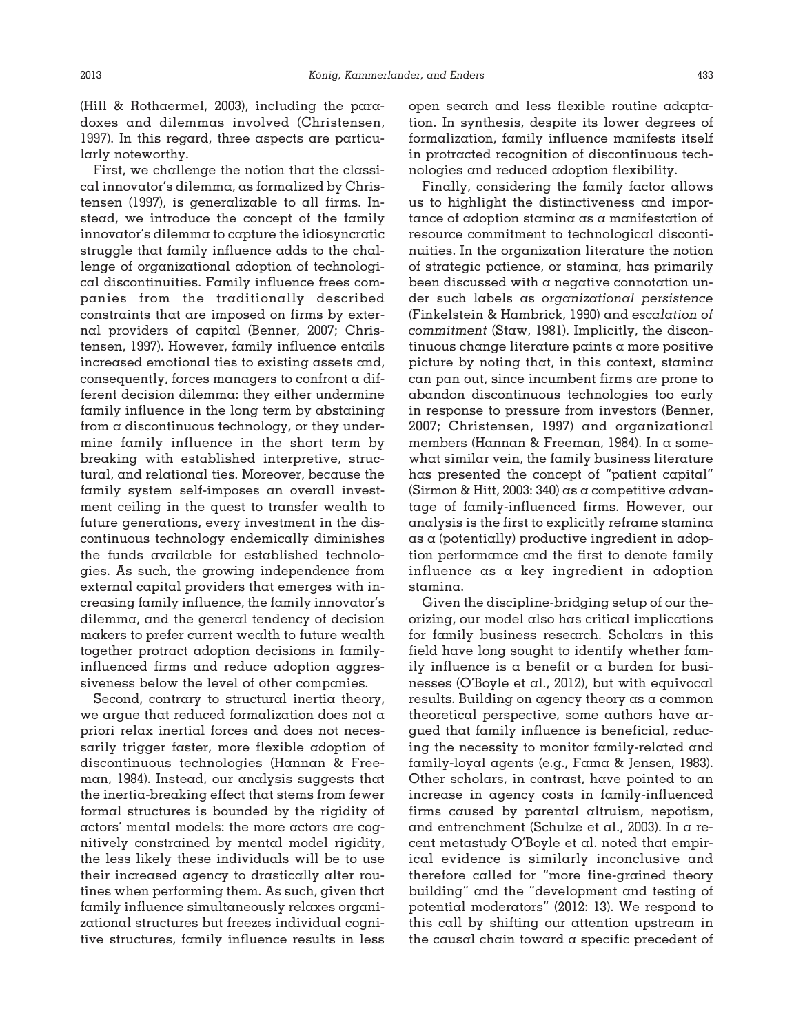(Hill & Rothaermel, 2003), including the paradoxes and dilemmas involved (Christensen, 1997). In this regard, three aspects are particularly noteworthy.

First, we challenge the notion that the classical innovator's dilemma, as formalized by Christensen (1997), is generalizable to all firms. Instead, we introduce the concept of the family innovator's dilemma to capture the idiosyncratic struggle that family influence adds to the challenge of organizational adoption of technological discontinuities. Family influence frees companies from the traditionally described constraints that are imposed on firms by external providers of capital (Benner, 2007; Christensen, 1997). However, family influence entails increased emotional ties to existing assets and, consequently, forces managers to confront a different decision dilemma: they either undermine family influence in the long term by abstaining from a discontinuous technology, or they undermine family influence in the short term by breaking with established interpretive, structural, and relational ties. Moreover, because the family system self-imposes an overall investment ceiling in the quest to transfer wealth to future generations, every investment in the discontinuous technology endemically diminishes the funds available for established technologies. As such, the growing independence from external capital providers that emerges with increasing family influence, the family innovator's dilemma, and the general tendency of decision makers to prefer current wealth to future wealth together protract adoption decisions in familyinfluenced firms and reduce adoption aggressiveness below the level of other companies.

Second, contrary to structural inertia theory, we argue that reduced formalization does not a priori relax inertial forces and does not necessarily trigger faster, more flexible adoption of discontinuous technologies (Hannan & Freeman, 1984). Instead, our analysis suggests that the inertia-breaking effect that stems from fewer formal structures is bounded by the rigidity of actors' mental models: the more actors are cognitively constrained by mental model rigidity, the less likely these individuals will be to use their increased agency to drastically alter routines when performing them. As such, given that family influence simultaneously relaxes organizational structures but freezes individual cognitive structures, family influence results in less

open search and less flexible routine adaptation. In synthesis, despite its lower degrees of formalization, family influence manifests itself in protracted recognition of discontinuous technologies and reduced adoption flexibility.

Finally, considering the family factor allows us to highlight the distinctiveness and importance of adoption stamina as a manifestation of resource commitment to technological discontinuities. In the organization literature the notion of strategic patience, or stamina, has primarily been discussed with a negative connotation under such labels as *organizational persistence* (Finkelstein & Hambrick, 1990) and *escalation of commitment* (Staw, 1981). Implicitly, the discontinuous change literature paints a more positive picture by noting that, in this context, stamina can pan out, since incumbent firms are prone to abandon discontinuous technologies too early in response to pressure from investors (Benner, 2007; Christensen, 1997) and organizational members (Hannan & Freeman, 1984). In a somewhat similar vein, the family business literature has presented the concept of "patient capital" (Sirmon & Hitt, 2003: 340) as a competitive advantage of family-influenced firms. However, our analysis is the first to explicitly reframe stamina  $\alpha$ s a (potentially) productive ingredient in adoption performance and the first to denote family influence as a key ingredient in adoption stamina.

Given the discipline-bridging setup of our theorizing, our model also has critical implications for family business research. Scholars in this field have long sought to identify whether family influence is a benefit or a burden for businesses (O'Boyle et al., 2012), but with equivocal results. Building on agency theory as a common theoretical perspective, some authors have argued that family influence is beneficial, reducing the necessity to monitor family-related and family-loyal agents (e.g., Fama & Jensen, 1983). Other scholars, in contrast, have pointed to an increase in agency costs in family-influenced firms caused by parental altruism, nepotism, and entrenchment (Schulze et al., 2003). In a recent metastudy O'Boyle et al. noted that empirical evidence is similarly inconclusive and therefore called for "more fine-grained theory building" and the "development and testing of potential moderators" (2012: 13). We respond to this call by shifting our attention upstream in the causal chain toward a specific precedent of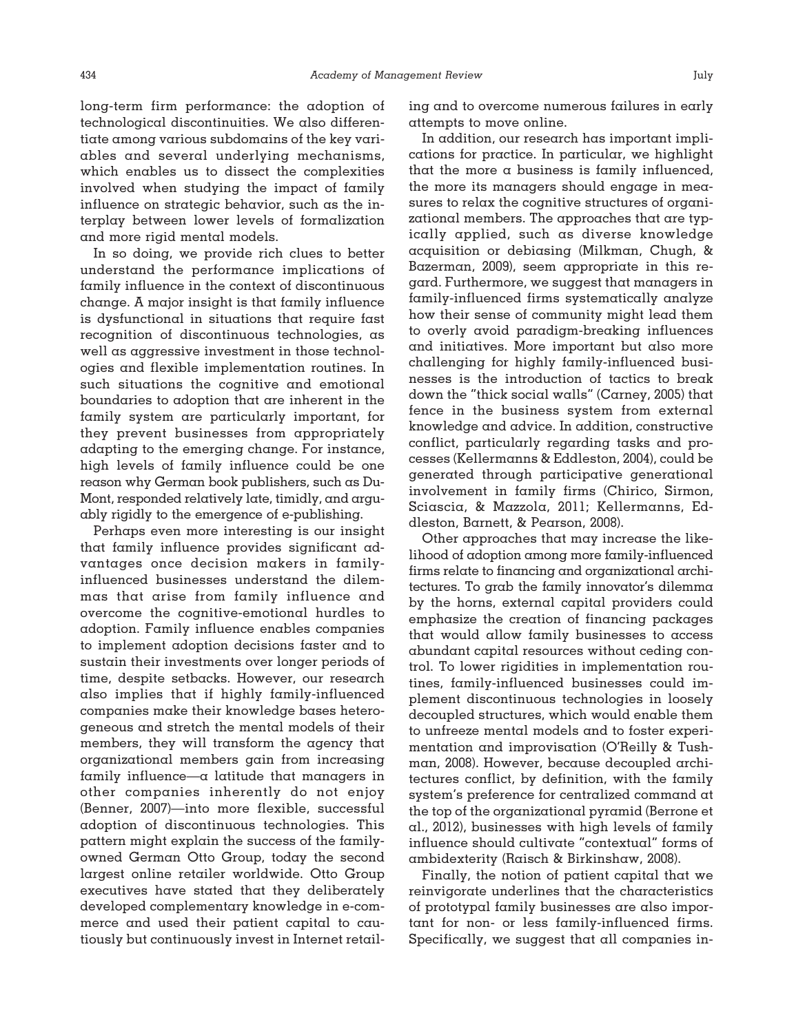long-term firm performance: the adoption of technological discontinuities. We also differentiate among various subdomains of the key variables and several underlying mechanisms, which enables us to dissect the complexities involved when studying the impact of family influence on strategic behavior, such as the interplay between lower levels of formalization and more rigid mental models.

In so doing, we provide rich clues to better understand the performance implications of family influence in the context of discontinuous change. A major insight is that family influence is dysfunctional in situations that require fast recognition of discontinuous technologies, as well as aggressive investment in those technologies and flexible implementation routines. In such situations the cognitive and emotional boundaries to adoption that are inherent in the family system are particularly important, for they prevent businesses from appropriately adapting to the emerging change. For instance, high levels of family influence could be one reason why German book publishers, such as Du-Mont, responded relatively late, timidly, and arguably rigidly to the emergence of e-publishing.

Perhaps even more interesting is our insight that family influence provides significant advantages once decision makers in familyinfluenced businesses understand the dilemmas that arise from family influence and overcome the cognitive-emotional hurdles to adoption. Family influence enables companies to implement adoption decisions faster and to sustain their investments over longer periods of time, despite setbacks. However, our research also implies that if highly family-influenced companies make their knowledge bases heterogeneous and stretch the mental models of their members, they will transform the agency that organizational members gain from increasing family influence—a latitude that managers in other companies inherently do not enjoy (Benner, 2007)—into more flexible, successful adoption of discontinuous technologies. This pattern might explain the success of the familyowned German Otto Group, today the second largest online retailer worldwide. Otto Group executives have stated that they deliberately developed complementary knowledge in e-commerce and used their patient capital to cautiously but continuously invest in Internet retailing and to overcome numerous failures in early attempts to move online.

In addition, our research has important implications for practice. In particular, we highlight that the more a business is family influenced, the more its managers should engage in measures to relax the cognitive structures of organizational members. The approaches that are typically applied, such as diverse knowledge acquisition or debiasing (Milkman, Chugh, & Bazerman, 2009), seem appropriate in this regard. Furthermore, we suggest that managers in family-influenced firms systematically analyze how their sense of community might lead them to overly avoid paradigm-breaking influences and initiatives. More important but also more challenging for highly family-influenced businesses is the introduction of tactics to break down the "thick social walls" (Carney, 2005) that fence in the business system from external knowledge and advice. In addition, constructive conflict, particularly regarding tasks and processes (Kellermanns & Eddleston, 2004), could be generated through participative generational involvement in family firms (Chirico, Sirmon, Sciascia, & Mazzola, 2011; Kellermanns, Eddleston, Barnett, & Pearson, 2008).

Other approaches that may increase the likelihood of adoption among more family-influenced firms relate to financing and organizational architectures. To grab the family innovator's dilemma by the horns, external capital providers could emphasize the creation of financing packages that would allow family businesses to access abundant capital resources without ceding control. To lower rigidities in implementation routines, family-influenced businesses could implement discontinuous technologies in loosely decoupled structures, which would enable them to unfreeze mental models and to foster experimentation and improvisation (O'Reilly & Tushman, 2008). However, because decoupled architectures conflict, by definition, with the family system's preference for centralized command at the top of the organizational pyramid (Berrone et al., 2012), businesses with high levels of family influence should cultivate "contextual" forms of ambidexterity (Raisch & Birkinshaw, 2008).

Finally, the notion of patient capital that we reinvigorate underlines that the characteristics of prototypal family businesses are also important for non- or less family-influenced firms. Specifically, we suggest that all companies in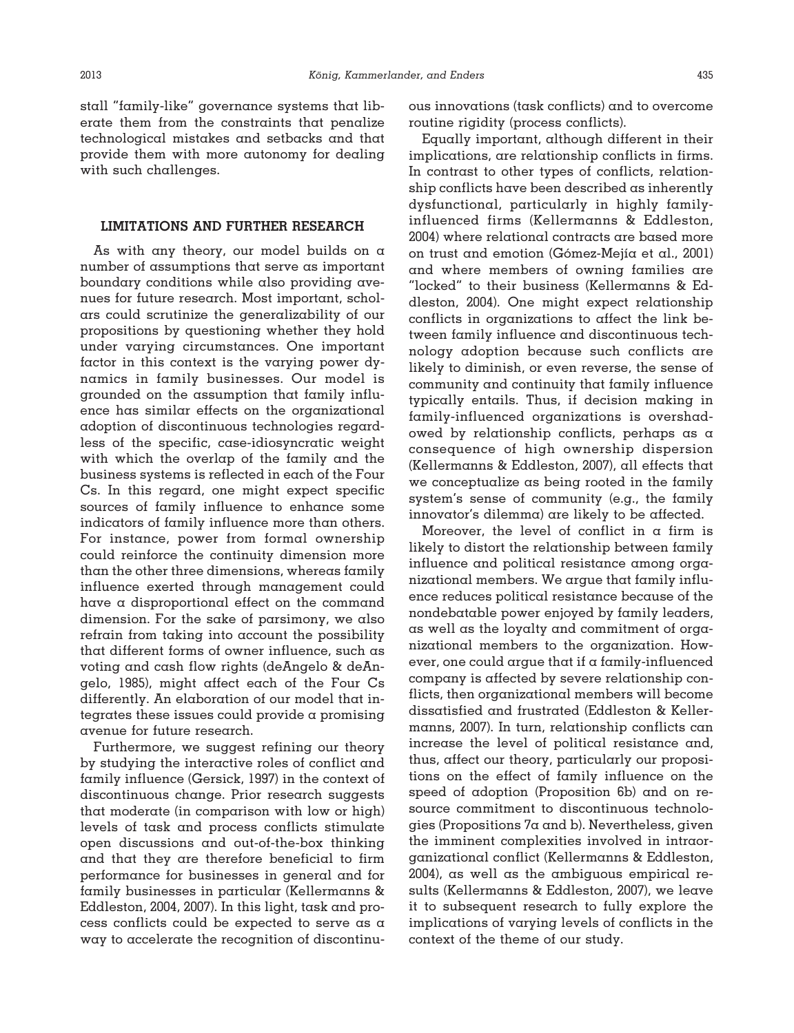stall "family-like" governance systems that liberate them from the constraints that penalize technological mistakes and setbacks and that provide them with more autonomy for dealing with such challenges.

#### **LIMITATIONS AND FURTHER RESEARCH**

As with any theory, our model builds on  $\alpha$ number of assumptions that serve as important boundary conditions while also providing avenues for future research. Most important, scholars could scrutinize the generalizability of our propositions by questioning whether they hold under varying circumstances. One important factor in this context is the varying power dynamics in family businesses. Our model is grounded on the assumption that family influence has similar effects on the organizational adoption of discontinuous technologies regardless of the specific, case-idiosyncratic weight with which the overlap of the family and the business systems is reflected in each of the Four Cs. In this regard, one might expect specific sources of family influence to enhance some indicators of family influence more than others. For instance, power from formal ownership could reinforce the continuity dimension more than the other three dimensions, whereas family influence exerted through management could have a disproportional effect on the command dimension. For the sake of parsimony, we also refrain from taking into account the possibility that different forms of owner influence, such as voting and cash flow rights (deAngelo & deAngelo, 1985), might affect each of the Four Cs differently. An elaboration of our model that integrates these issues could provide a promising avenue for future research.

Furthermore, we suggest refining our theory by studying the interactive roles of conflict and family influence (Gersick, 1997) in the context of discontinuous change. Prior research suggests that moderate (in comparison with low or high) levels of task and process conflicts stimulate open discussions and out-of-the-box thinking and that they are therefore beneficial to firm performance for businesses in general and for family businesses in particular (Kellermanns & Eddleston, 2004, 2007). In this light, task and process conflicts could be expected to serve as a way to accelerate the recognition of discontinuous innovations (task conflicts) and to overcome routine rigidity (process conflicts).

Equally important, although different in their implications, are relationship conflicts in firms. In contrast to other types of conflicts, relationship conflicts have been described as inherently dysfunctional, particularly in highly familyinfluenced firms (Kellermanns & Eddleston, 2004) where relational contracts are based more on trust and emotion (Gómez-Mejía et al., 2001) and where members of owning families are "locked" to their business (Kellermanns & Eddleston, 2004). One might expect relationship conflicts in organizations to affect the link between family influence and discontinuous technology adoption because such conflicts are likely to diminish, or even reverse, the sense of community and continuity that family influence typically entails. Thus, if decision making in family-influenced organizations is overshadowed by relationship conflicts, perhaps as a consequence of high ownership dispersion (Kellermanns & Eddleston, 2007), all effects that we conceptualize as being rooted in the family system's sense of community (e.g., the family innovator's dilemma) are likely to be affected.

Moreover, the level of conflict in  $\alpha$  firm is likely to distort the relationship between family influence and political resistance among organizational members. We argue that family influence reduces political resistance because of the nondebatable power enjoyed by family leaders, as well as the loyalty and commitment of organizational members to the organization. However, one could argue that if a family-influenced company is affected by severe relationship conflicts, then organizational members will become dissatisfied and frustrated (Eddleston & Kellermanns, 2007). In turn, relationship conflicts can increase the level of political resistance and, thus, affect our theory, particularly our propositions on the effect of family influence on the speed of adoption (Proposition 6b) and on resource commitment to discontinuous technologies (Propositions 7a and b). Nevertheless, given the imminent complexities involved in intraorganizational conflict (Kellermanns & Eddleston, 2004), as well as the ambiguous empirical results (Kellermanns & Eddleston, 2007), we leave it to subsequent research to fully explore the implications of varying levels of conflicts in the context of the theme of our study.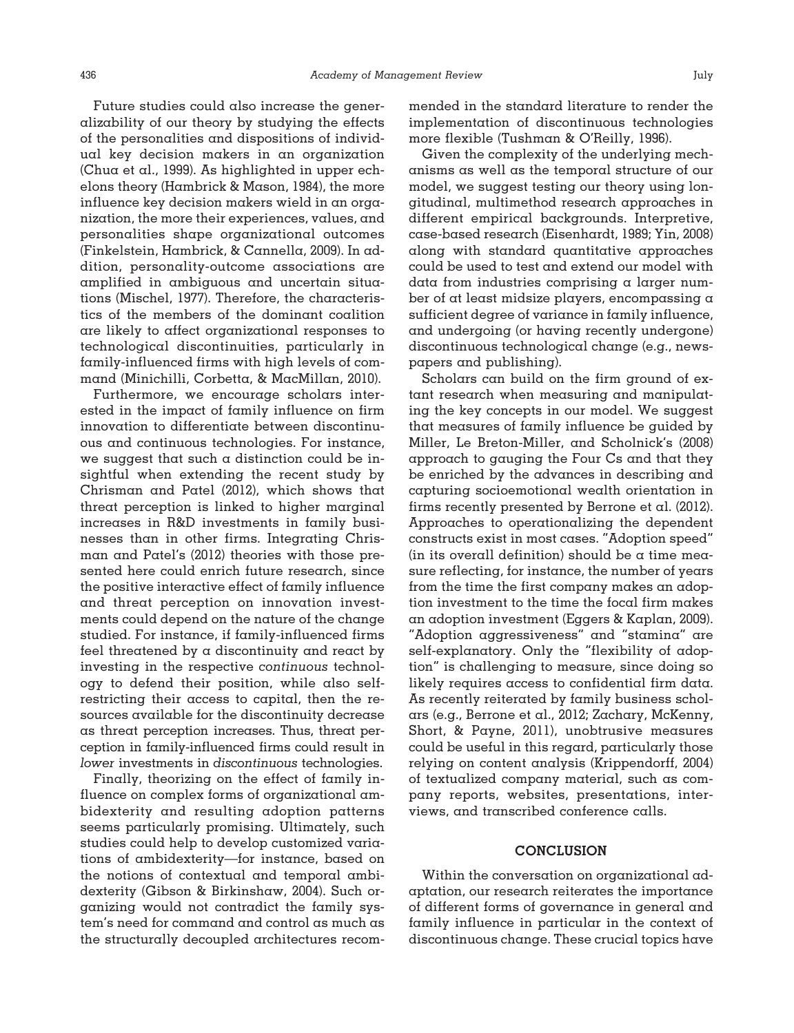Future studies could also increase the generalizability of our theory by studying the effects of the personalities and dispositions of individual key decision makers in an organization (Chua et al., 1999). As highlighted in upper echelons theory (Hambrick & Mason, 1984), the more influence key decision makers wield in an organization, the more their experiences, values, and personalities shape organizational outcomes (Finkelstein, Hambrick, & Cannella, 2009). In addition, personality-outcome associations are amplified in ambiguous and uncertain situations (Mischel, 1977). Therefore, the characteristics of the members of the dominant coalition are likely to affect organizational responses to technological discontinuities, particularly in family-influenced firms with high levels of command (Minichilli, Corbetta, & MacMillan, 2010).

Furthermore, we encourage scholars interested in the impact of family influence on firm innovation to differentiate between discontinuous and continuous technologies. For instance, we suggest that such a distinction could be insightful when extending the recent study by Chrisman and Patel (2012), which shows that threat perception is linked to higher marginal increases in R&D investments in family businesses than in other firms. Integrating Chrisman and Patel's (2012) theories with those presented here could enrich future research, since the positive interactive effect of family influence and threat perception on innovation investments could depend on the nature of the change studied. For instance, if family-influenced firms feel threatened by a discontinuity and react by investing in the respective *continuous* technology to defend their position, while also selfrestricting their access to capital, then the resources available for the discontinuity decrease as threat perception increases. Thus, threat perception in family-influenced firms could result in *lower* investments in *discontinuous* technologies.

Finally, theorizing on the effect of family influence on complex forms of organizational ambidexterity and resulting adoption patterns seems particularly promising. Ultimately, such studies could help to develop customized variations of ambidexterity—for instance, based on the notions of contextual and temporal ambidexterity (Gibson & Birkinshaw, 2004). Such organizing would not contradict the family system's need for command and control as much as the structurally decoupled architectures recommended in the standard literature to render the implementation of discontinuous technologies more flexible (Tushman & O'Reilly, 1996).

Given the complexity of the underlying mechanisms as well as the temporal structure of our model, we suggest testing our theory using longitudinal, multimethod research approaches in different empirical backgrounds. Interpretive, case-based research (Eisenhardt, 1989; Yin, 2008) along with standard quantitative approaches could be used to test and extend our model with data from industries comprising a larger number of at least midsize players, encompassing a sufficient degree of variance in family influence, and undergoing (or having recently undergone) discontinuous technological change (e.g., newspapers and publishing).

Scholars can build on the firm ground of extant research when measuring and manipulating the key concepts in our model. We suggest that measures of family influence be guided by Miller, Le Breton-Miller, and Scholnick's (2008) approach to gauging the Four Cs and that they be enriched by the advances in describing and capturing socioemotional wealth orientation in firms recently presented by Berrone et al. (2012). Approaches to operationalizing the dependent constructs exist in most cases. "Adoption speed" (in its overall definition) should be a time measure reflecting, for instance, the number of years from the time the first company makes an adoption investment to the time the focal firm makes an adoption investment (Eggers & Kaplan, 2009). "Adoption aggressiveness" and "stamina" are self-explanatory. Only the "flexibility of adoption" is challenging to measure, since doing so likely requires access to confidential firm data. As recently reiterated by family business scholars (e.g., Berrone et al., 2012; Zachary, McKenny, Short, & Payne, 2011), unobtrusive measures could be useful in this regard, particularly those relying on content analysis (Krippendorff, 2004) of textualized company material, such as company reports, websites, presentations, interviews, and transcribed conference calls.

#### **CONCLUSION**

Within the conversation on organizational adaptation, our research reiterates the importance of different forms of governance in general and family influence in particular in the context of discontinuous change. These crucial topics have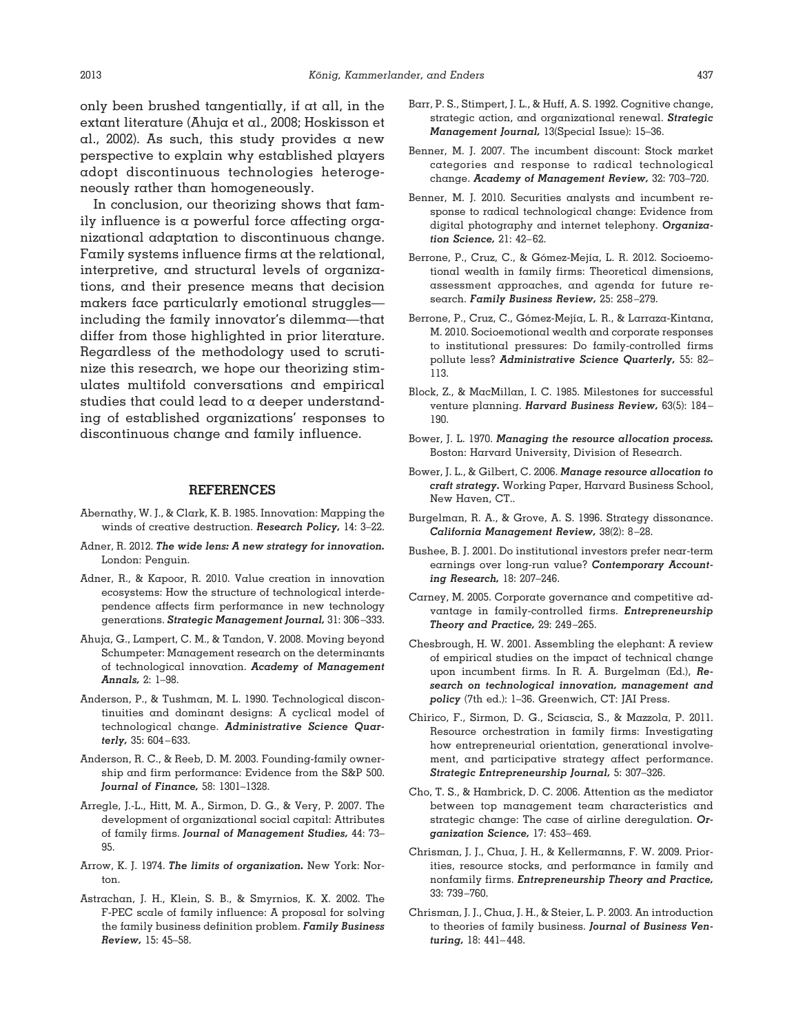only been brushed tangentially, if at all, in the extant literature (Ahuja et al., 2008; Hoskisson et al., 2002). As such, this study provides a new perspective to explain why established players adopt discontinuous technologies heterogeneously rather than homogeneously.

In conclusion, our theorizing shows that family influence is a powerful force affecting organizational adaptation to discontinuous change. Family systems influence firms at the relational, interpretive, and structural levels of organizations, and their presence means that decision makers face particularly emotional struggles including the family innovator's dilemma—that differ from those highlighted in prior literature. Regardless of the methodology used to scrutinize this research, we hope our theorizing stimulates multifold conversations and empirical studies that could lead to a deeper understanding of established organizations' responses to discontinuous change and family influence.

#### **REFERENCES**

- Abernathy, W. J., & Clark, K. B. 1985. Innovation: Mapping the winds of creative destruction. *Research Policy,* 14: 3–22.
- Adner, R. 2012. *The wide lens: A new strategy for innovation.* London: Penguin.
- Adner, R., & Kapoor, R. 2010. Value creation in innovation ecosystems: How the structure of technological interdependence affects firm performance in new technology generations. *Strategic Management Journal,* 31: 306–333.
- Ahuja, G., Lampert, C. M., & Tandon, V. 2008. Moving beyond Schumpeter: Management research on the determinants of technological innovation. *Academy of Management Annals,* 2: 1–98.
- Anderson, P., & Tushman, M. L. 1990. Technological discontinuities and dominant designs: A cyclical model of technological change. *Administrative Science Quarterly,* 35: 604–633.
- Anderson, R. C., & Reeb, D. M. 2003. Founding-family ownership and firm performance: Evidence from the S&P 500. *Journal of Finance,* 58: 1301–1328.
- Arregle, J.-L., Hitt, M. A., Sirmon, D. G., & Very, P. 2007. The development of organizational social capital: Attributes of family firms. *Journal of Management Studies,* 44: 73– 95.
- Arrow, K. J. 1974. *The limits of organization.* New York: Norton.
- Astrachan, J. H., Klein, S. B., & Smyrnios, K. X. 2002. The F-PEC scale of family influence: A proposal for solving the family business definition problem. *Family Business Review,* 15: 45–58.
- Barr, P. S., Stimpert, J. L., & Huff, A. S. 1992. Cognitive change, strategic action, and organizational renewal. *Strategic Management Journal,* 13(Special Issue): 15–36.
- Benner, M. J. 2007. The incumbent discount: Stock market categories and response to radical technological change. *Academy of Management Review,* 32: 703–720.
- Benner, M. J. 2010. Securities analysts and incumbent response to radical technological change: Evidence from digital photography and internet telephony. *Organization Science,* 21: 42–62.
- Berrone, P., Cruz, C., & Gómez-Mejía, L. R. 2012. Socioemotional wealth in family firms: Theoretical dimensions, assessment approaches, and agenda for future research. *Family Business Review,* 25: 258–279.
- Berrone, P., Cruz, C., Gómez-Mejía, L. R., & Larraza-Kintana, M. 2010. Socioemotional wealth and corporate responses to institutional pressures: Do family-controlled firms pollute less? *Administrative Science Quarterly,* 55: 82– 113.
- Block, Z., & MacMillan, I. C. 1985. Milestones for successful venture planning. *Harvard Business Review,* 63(5): 184– 190.
- Bower, J. L. 1970. *Managing the resource allocation process.* Boston: Harvard University, Division of Research.
- Bower, J. L., & Gilbert, C. 2006. *Manage resource allocation to craft strategy.* Working Paper, Harvard Business School, New Haven, CT..
- Burgelman, R. A., & Grove, A. S. 1996. Strategy dissonance. *California Management Review,* 38(2): 8–28.
- Bushee, B. J. 2001. Do institutional investors prefer near-term earnings over long-run value? *Contemporary Accounting Research,* 18: 207–246.
- Carney, M. 2005. Corporate governance and competitive advantage in family-controlled firms. *Entrepreneurship Theory and Practice,* 29: 249–265.
- Chesbrough, H. W. 2001. Assembling the elephant: A review of empirical studies on the impact of technical change upon incumbent firms. In R. A. Burgelman (Ed.), *Research on technological innovation, management and policy* (7th ed.): 1–36. Greenwich, CT: JAI Press.
- Chirico, F., Sirmon, D. G., Sciascia, S., & Mazzola, P. 2011. Resource orchestration in family firms: Investigating how entrepreneurial orientation, generational involvement, and participative strategy affect performance. *Strategic Entrepreneurship Journal,* 5: 307–326.
- Cho, T. S., & Hambrick, D. C. 2006. Attention as the mediator between top management team characteristics and strategic change: The case of airline deregulation. *Organization Science,* 17: 453–469.
- Chrisman, J. J., Chua, J. H., & Kellermanns, F. W. 2009. Priorities, resource stocks, and performance in family and nonfamily firms. *Entrepreneurship Theory and Practice,* 33: 739–760.
- Chrisman, J. J., Chua, J. H., & Steier, L. P. 2003. An introduction to theories of family business. *Journal of Business Venturing,* 18: 441–448.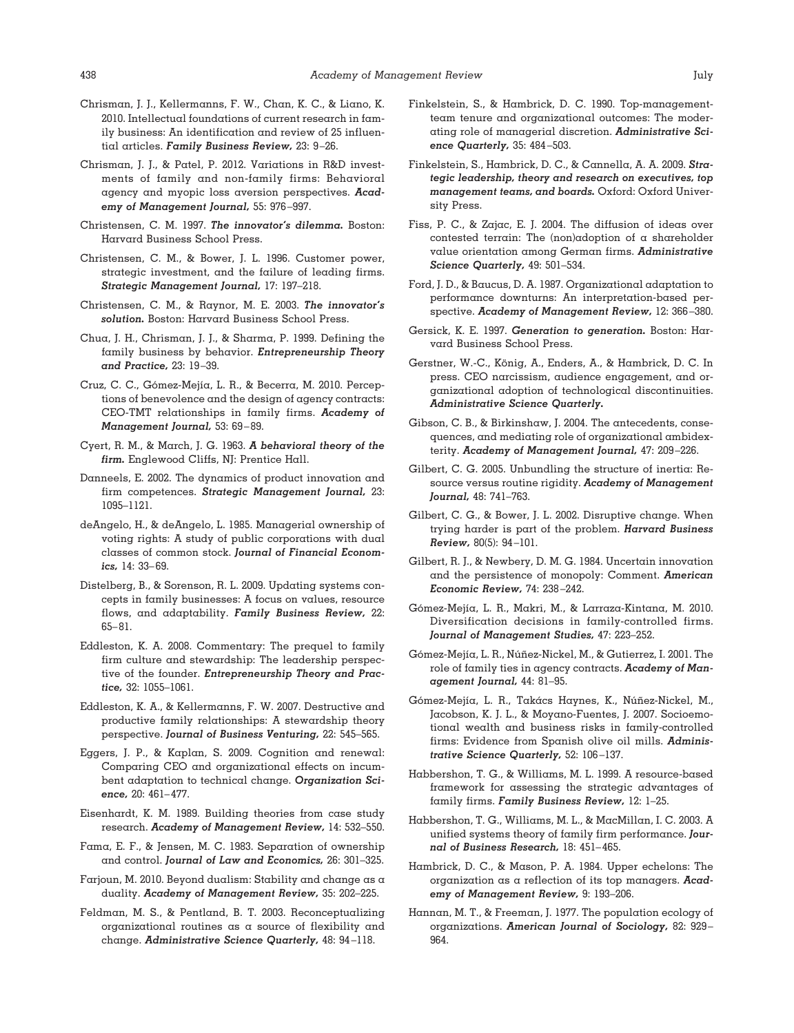- Chrisman, J. J., Kellermanns, F. W., Chan, K. C., & Liano, K. 2010. Intellectual foundations of current research in family business: An identification and review of 25 influential articles. *Family Business Review,* 23: 9–26.
- Chrisman, J. J., & Patel, P. 2012. Variations in R&D investments of family and non-family firms: Behavioral agency and myopic loss aversion perspectives. *Academy of Management Journal,* 55: 976–997.
- Christensen, C. M. 1997. *The innovator's dilemma.* Boston: Harvard Business School Press.
- Christensen, C. M., & Bower, J. L. 1996. Customer power, strategic investment, and the failure of leading firms. *Strategic Management Journal,* 17: 197–218.
- Christensen, C. M., & Raynor, M. E. 2003. *The innovator's solution.* Boston: Harvard Business School Press.
- Chua, J. H., Chrisman, J. J., & Sharma, P. 1999. Defining the family business by behavior. *Entrepreneurship Theory and Practice,* 23: 19–39.
- Cruz, C. C., Gómez-Mejía, L. R., & Becerra, M. 2010. Perceptions of benevolence and the design of agency contracts: CEO-TMT relationships in family firms. *Academy of Management Journal,* 53: 69–89.
- Cyert, R. M., & March, J. G. 1963. *A behavioral theory of the firm.* Englewood Cliffs, NJ: Prentice Hall.
- Danneels, E. 2002. The dynamics of product innovation and firm competences. *Strategic Management Journal,* 23: 1095–1121.
- deAngelo, H., & deAngelo, L. 1985. Managerial ownership of voting rights: A study of public corporations with dual classes of common stock. *Journal of Financial Economics,* 14: 33–69.
- Distelberg, B., & Sorenson, R. L. 2009. Updating systems concepts in family businesses: A focus on values, resource flows, and adaptability. *Family Business Review,* 22: 65–81.
- Eddleston, K. A. 2008. Commentary: The prequel to family firm culture and stewardship: The leadership perspective of the founder. *Entrepreneurship Theory and Practice,* 32: 1055–1061.
- Eddleston, K. A., & Kellermanns, F. W. 2007. Destructive and productive family relationships: A stewardship theory perspective. *Journal of Business Venturing,* 22: 545–565.
- Eggers, J. P., & Kaplan, S. 2009. Cognition and renewal: Comparing CEO and organizational effects on incumbent adaptation to technical change. *Organization Science,* 20: 461–477.
- Eisenhardt, K. M. 1989. Building theories from case study research. *Academy of Management Review,* 14: 532–550.
- Fama, E. F., & Jensen, M. C. 1983. Separation of ownership and control. *Journal of Law and Economics,* 26: 301–325.
- Farjoun, M. 2010. Beyond dualism: Stability and change as a duality. *Academy of Management Review,* 35: 202–225.
- Feldman, M. S., & Pentland, B. T. 2003. Reconceptualizing organizational routines as a source of flexibility and change. *Administrative Science Quarterly,* 48: 94–118.
- Finkelstein, S., & Hambrick, D. C. 1990. Top-managementteam tenure and organizational outcomes: The moderating role of managerial discretion. *Administrative Science Quarterly,* 35: 484–503.
- Finkelstein, S., Hambrick, D. C., & Cannella, A. A. 2009. *Strategic leadership, theory and research on executives, top management teams, and boards.* Oxford: Oxford University Press.
- Fiss, P. C., & Zajac, E. J. 2004. The diffusion of ideas over contested terrain: The  $(non)$ adoption of a shareholder value orientation among German firms. *Administrative Science Quarterly,* 49: 501–534.
- Ford, J. D., & Baucus, D. A. 1987. Organizational adaptation to performance downturns: An interpretation-based perspective. *Academy of Management Review,* 12: 366–380.
- Gersick, K. E. 1997. *Generation to generation.* Boston: Harvard Business School Press.
- Gerstner, W.-C., König, A., Enders, A., & Hambrick, D. C. In press. CEO narcissism, audience engagement, and organizational adoption of technological discontinuities. *Administrative Science Quarterly.*
- Gibson, C. B., & Birkinshaw, J. 2004. The antecedents, consequences, and mediating role of organizational ambidexterity. *Academy of Management Journal,* 47: 209–226.
- Gilbert, C. G. 2005. Unbundling the structure of inertia: Resource versus routine rigidity. *Academy of Management Journal,* 48: 741–763.
- Gilbert, C. G., & Bower, J. L. 2002. Disruptive change. When trying harder is part of the problem. *Harvard Business Review,* 80(5): 94–101.
- Gilbert, R. J., & Newbery, D. M. G. 1984. Uncertain innovation and the persistence of monopoly: Comment. *American Economic Review,* 74: 238–242.
- Gómez-Mejía, L. R., Makri, M., & Larraza-Kintana, M. 2010. Diversification decisions in family-controlled firms. *Journal of Management Studies,* 47: 223–252.
- Gómez-Mejía, L. R., Núñez-Nickel, M., & Gutierrez, I. 2001. The role of family ties in agency contracts. *Academy of Management Journal,* 44: 81–95.
- Gómez-Mejía, L. R., Takács Haynes, K., Núñez-Nickel, M., Jacobson, K. J. L., & Moyano-Fuentes, J. 2007. Socioemotional wealth and business risks in family-controlled firms: Evidence from Spanish olive oil mills. *Administrative Science Quarterly,* 52: 106–137.
- Habbershon, T. G., & Williams, M. L. 1999. A resource-based framework for assessing the strategic advantages of family firms. *Family Business Review,* 12: 1–25.
- Habbershon, T. G., Williams, M. L., & MacMillan, I. C. 2003. A unified systems theory of family firm performance. *Journal of Business Research,* 18: 451–465.
- Hambrick, D. C., & Mason, P. A. 1984. Upper echelons: The organization as a reflection of its top managers. *Academy of Management Review,* 9: 193–206.
- Hannan, M. T., & Freeman, J. 1977. The population ecology of organizations. *American Journal of Sociology,* 82: 929– 964.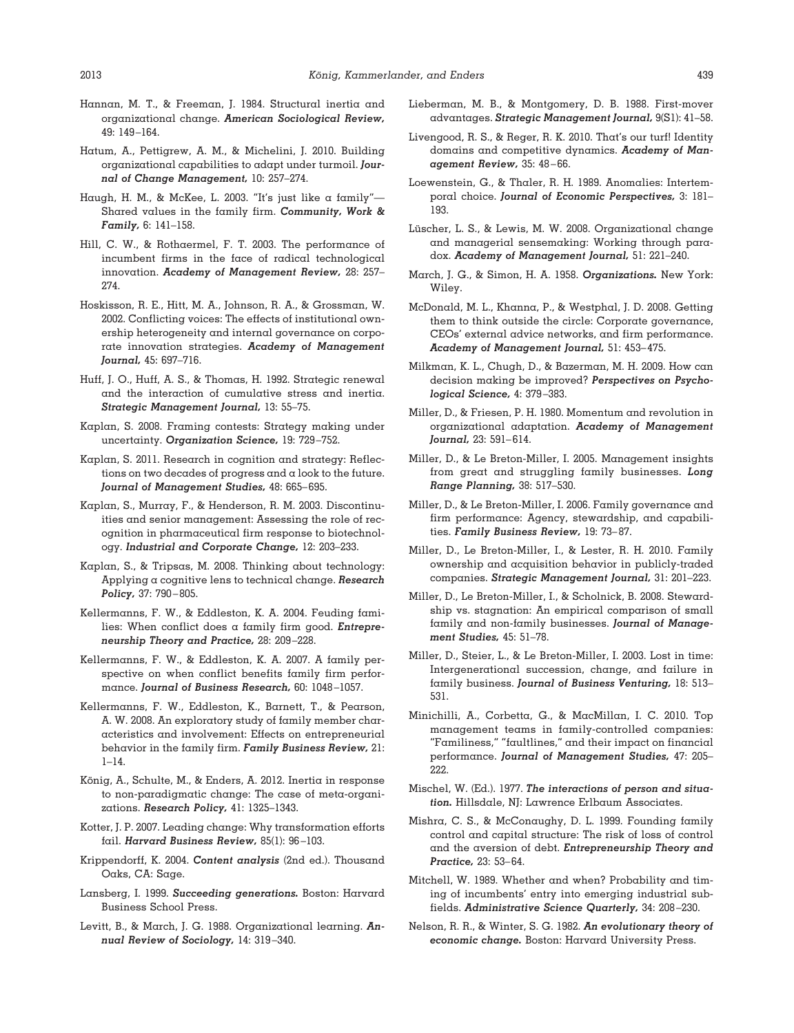- Hannan, M. T., & Freeman, J. 1984. Structural inertia and organizational change. *American Sociological Review,* 49: 149–164.
- Hatum, A., Pettigrew, A. M., & Michelini, J. 2010. Building organizational capabilities to adapt under turmoil. *Journal of Change Management,* 10: 257–274.
- Haugh, H. M., & McKee, L. 2003. "It's just like a family"-Shared values in the family firm. *Community, Work & Family,* 6: 141–158.
- Hill, C. W., & Rothaermel, F. T. 2003. The performance of incumbent firms in the face of radical technological innovation. *Academy of Management Review,* 28: 257– 274.
- Hoskisson, R. E., Hitt, M. A., Johnson, R. A., & Grossman, W. 2002. Conflicting voices: The effects of institutional ownership heterogeneity and internal governance on corporate innovation strategies. *Academy of Management Journal,* 45: 697–716.
- Huff, J. O., Huff, A. S., & Thomas, H. 1992. Strategic renewal and the interaction of cumulative stress and inertia. *Strategic Management Journal,* 13: 55–75.
- Kaplan, S. 2008. Framing contests: Strategy making under uncertainty. *Organization Science,* 19: 729–752.
- Kaplan, S. 2011. Research in cognition and strategy: Reflections on two decades of progress and  $\alpha$  look to the future. *Journal of Management Studies,* 48: 665–695.
- Kaplan, S., Murray, F., & Henderson, R. M. 2003. Discontinuities and senior management: Assessing the role of recognition in pharmaceutical firm response to biotechnology. *Industrial and Corporate Change,* 12: 203–233.
- Kaplan, S., & Tripsas, M. 2008. Thinking about technology: Applying a cognitive lens to technical change. *Research Policy,* 37: 790–805.
- Kellermanns, F. W., & Eddleston, K. A. 2004. Feuding families: When conflict does a family firm good. *Entrepreneurship Theory and Practice,* 28: 209–228.
- Kellermanns, F. W., & Eddleston, K. A. 2007. A family perspective on when conflict benefits family firm performance. *Journal of Business Research,* 60: 1048–1057.
- Kellermanns, F. W., Eddleston, K., Barnett, T., & Pearson, A. W. 2008. An exploratory study of family member characteristics and involvement: Effects on entrepreneurial behavior in the family firm. *Family Business Review,* 21: 1–14.
- König, A., Schulte, M., & Enders, A. 2012. Inertia in response to non-paradigmatic change: The case of meta-organizations. *Research Policy,* 41: 1325–1343.
- Kotter, J. P. 2007. Leading change: Why transformation efforts fail. *Harvard Business Review,* 85(1): 96–103.
- Krippendorff, K. 2004. *Content analysis* (2nd ed.). Thousand Oaks, CA: Sage.
- Lansberg, I. 1999. *Succeeding generations.* Boston: Harvard Business School Press.
- Levitt, B., & March, J. G. 1988. Organizational learning. *Annual Review of Sociology,* 14: 319–340.
- Lieberman, M. B., & Montgomery, D. B. 1988. First-mover advantages. *Strategic Management Journal,* 9(S1): 41–58.
- Livengood, R. S., & Reger, R. K. 2010. That's our turf! Identity domains and competitive dynamics. *Academy of Management Review,* 35: 48–66.
- Loewenstein, G., & Thaler, R. H. 1989. Anomalies: Intertemporal choice. *Journal of Economic Perspectives,* 3: 181– 193.
- Lüscher, L. S., & Lewis, M. W. 2008. Organizational change and managerial sensemaking: Working through paradox. *Academy of Management Journal,* 51: 221–240.
- March, J. G., & Simon, H. A. 1958. *Organizations.* New York: Wiley.
- McDonald, M. L., Khanna, P., & Westphal, J. D. 2008. Getting them to think outside the circle: Corporate governance, CEOs' external advice networks, and firm performance. *Academy of Management Journal,* 51: 453–475.
- Milkman, K. L., Chugh, D., & Bazerman, M. H. 2009. How can decision making be improved? *Perspectives on Psychological Science,* 4: 379–383.
- Miller, D., & Friesen, P. H. 1980. Momentum and revolution in organizational adaptation. *Academy of Management Journal,* 23: 591–614.
- Miller, D., & Le Breton-Miller, I. 2005. Management insights from great and struggling family businesses. *Long Range Planning,* 38: 517–530.
- Miller, D., & Le Breton-Miller, I. 2006. Family governance and firm performance: Agency, stewardship, and capabilities. *Family Business Review,* 19: 73–87.
- Miller, D., Le Breton-Miller, I., & Lester, R. H. 2010. Family ownership and acquisition behavior in publicly-traded companies. *Strategic Management Journal,* 31: 201–223.
- Miller, D., Le Breton-Miller, I., & Scholnick, B. 2008. Stewardship vs. stagnation: An empirical comparison of small family and non-family businesses. *Journal of Management Studies,* 45: 51–78.
- Miller, D., Steier, L., & Le Breton-Miller, I. 2003. Lost in time: Intergenerational succession, change, and failure in family business. *Journal of Business Venturing,* 18: 513– 531.
- Minichilli, A., Corbetta, G., & MacMillan, I. C. 2010. Top management teams in family-controlled companies: "Familiness," "faultlines," and their impact on financial performance. *Journal of Management Studies,* 47: 205– 222.
- Mischel, W. (Ed.). 1977. *The interactions of person and situation.* Hillsdale, NJ: Lawrence Erlbaum Associates.
- Mishra, C. S., & McConaughy, D. L. 1999. Founding family control and capital structure: The risk of loss of control and the aversion of debt. *Entrepreneurship Theory and Practice,* 23: 53–64.
- Mitchell, W. 1989. Whether and when? Probability and timing of incumbents' entry into emerging industrial subfields. *Administrative Science Quarterly,* 34: 208–230.
- Nelson, R. R., & Winter, S. G. 1982. *An evolutionary theory of economic change.* Boston: Harvard University Press.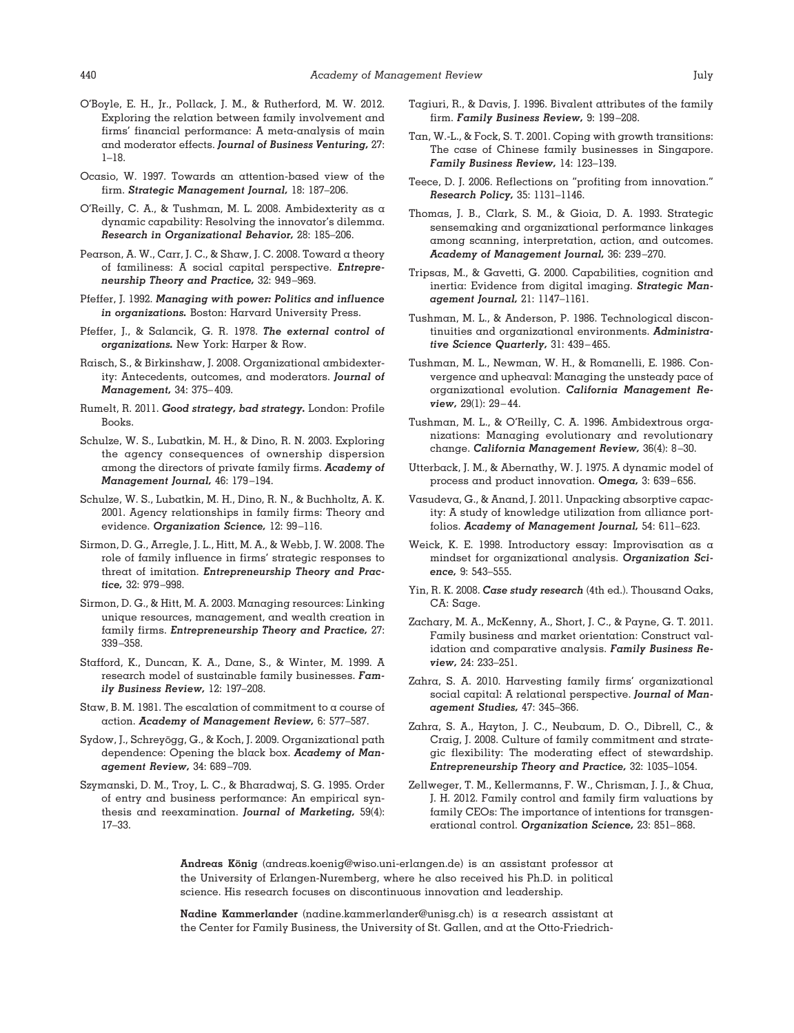- O'Boyle, E. H., Jr., Pollack, J. M., & Rutherford, M. W. 2012. Exploring the relation between family involvement and firms' financial performance: A meta-analysis of main and moderator effects. *Journal of Business Venturing,* 27: 1–18.
- Ocasio, W. 1997. Towards an attention-based view of the firm. *Strategic Management Journal,* 18: 187–206.
- O'Reilly, C. A., & Tushman, M. L. 2008. Ambidexterity as a dynamic capability: Resolving the innovator's dilemma. *Research in Organizational Behavior,* 28: 185–206.
- Pearson, A. W., Carr, J. C., & Shaw, J. C. 2008. Toward a theory of familiness: A social capital perspective. *Entrepreneurship Theory and Practice,* 32: 949–969.
- Pfeffer, J. 1992. *Managing with power: Politics and influence in organizations.* Boston: Harvard University Press.
- Pfeffer, J., & Salancik, G. R. 1978. *The external control of organizations.* New York: Harper & Row.
- Raisch, S., & Birkinshaw, J. 2008. Organizational ambidexterity: Antecedents, outcomes, and moderators. *Journal of Management,* 34: 375–409.
- Rumelt, R. 2011. *Good strategy, bad strategy.* London: Profile Books.
- Schulze, W. S., Lubatkin, M. H., & Dino, R. N. 2003. Exploring the agency consequences of ownership dispersion among the directors of private family firms. *Academy of Management Journal,* 46: 179–194.
- Schulze, W. S., Lubatkin, M. H., Dino, R. N., & Buchholtz, A. K. 2001. Agency relationships in family firms: Theory and evidence. *Organization Science,* 12: 99–116.
- Sirmon, D. G., Arregle, J. L., Hitt, M. A., & Webb, J. W. 2008. The role of family influence in firms' strategic responses to threat of imitation. *Entrepreneurship Theory and Practice,* 32: 979–998.
- Sirmon, D. G., & Hitt, M. A. 2003. Managing resources: Linking unique resources, management, and wealth creation in family firms. *Entrepreneurship Theory and Practice,* 27: 339–358.
- Stafford, K., Duncan, K. A., Dane, S., & Winter, M. 1999. A research model of sustainable family businesses. *Family Business Review,* 12: 197–208.
- Staw, B. M. 1981. The escalation of commitment to a course of action. *Academy of Management Review,* 6: 577–587.
- Sydow, J., Schreyögg, G., & Koch, J. 2009. Organizational path dependence: Opening the black box. *Academy of Management Review,* 34: 689–709.
- Szymanski, D. M., Troy, L. C., & Bharadwaj, S. G. 1995. Order of entry and business performance: An empirical synthesis and reexamination. *Journal of Marketing,* 59(4): 17–33.
- Tagiuri, R., & Davis, J. 1996. Bivalent attributes of the family firm. *Family Business Review,* 9: 199–208.
- Tan, W.-L., & Fock, S. T. 2001. Coping with growth transitions: The case of Chinese family businesses in Singapore. *Family Business Review,* 14: 123–139.
- Teece, D. J. 2006. Reflections on "profiting from innovation." *Research Policy,* 35: 1131–1146.
- Thomas, J. B., Clark, S. M., & Gioia, D. A. 1993. Strategic sensemaking and organizational performance linkages among scanning, interpretation, action, and outcomes. *Academy of Management Journal,* 36: 239–270.
- Tripsas, M., & Gavetti, G. 2000. Capabilities, cognition and inertia: Evidence from digital imaging. *Strategic Management Journal,* 21: 1147–1161.
- Tushman, M. L., & Anderson, P. 1986. Technological discontinuities and organizational environments. *Administrative Science Quarterly,* 31: 439–465.
- Tushman, M. L., Newman, W. H., & Romanelli, E. 1986. Convergence and upheaval: Managing the unsteady pace of organizational evolution. *California Management Review,* 29(1): 29–44.
- Tushman, M. L., & O'Reilly, C. A. 1996. Ambidextrous organizations: Managing evolutionary and revolutionary change. *California Management Review,* 36(4): 8–30.
- Utterback, J. M., & Abernathy, W. J. 1975. A dynamic model of process and product innovation. *Omega,* 3: 639–656.
- Vasudeva, G., & Anand, J. 2011. Unpacking absorptive capacity: A study of knowledge utilization from alliance portfolios. *Academy of Management Journal,* 54: 611–623.
- Weick, K. E. 1998. Introductory essay: Improvisation as a mindset for organizational analysis. *Organization Science,* 9: 543–555.
- Yin, R. K. 2008. *Case study research* (4th ed.). Thousand Oaks, CA: Sage.
- Zachary, M. A., McKenny, A., Short, J. C., & Payne, G. T. 2011. Family business and market orientation: Construct validation and comparative analysis. *Family Business Review,* 24: 233–251.
- Zahra, S. A. 2010. Harvesting family firms' organizational social capital: A relational perspective. *Journal of Management Studies,* 47: 345–366.
- Zahra, S. A., Hayton, J. C., Neubaum, D. O., Dibrell, C., & Craig, J. 2008. Culture of family commitment and strategic flexibility: The moderating effect of stewardship. *Entrepreneurship Theory and Practice,* 32: 1035–1054.
- Zellweger, T. M., Kellermanns, F. W., Chrisman, J. J., & Chua, J. H. 2012. Family control and family firm valuations by family CEOs: The importance of intentions for transgenerational control. *Organization Science,* 23: 851–868.

**Andreas König** (andreas.koenig@wiso.uni-erlangen.de) is an assistant professor at the University of Erlangen-Nuremberg, where he also received his Ph.D. in political science. His research focuses on discontinuous innovation and leadership.

**Nadine Kammerlander** (nadine.kammerlander@unisg.ch) is a research assistant at the Center for Family Business, the University of St. Gallen, and at the Otto-Friedrich